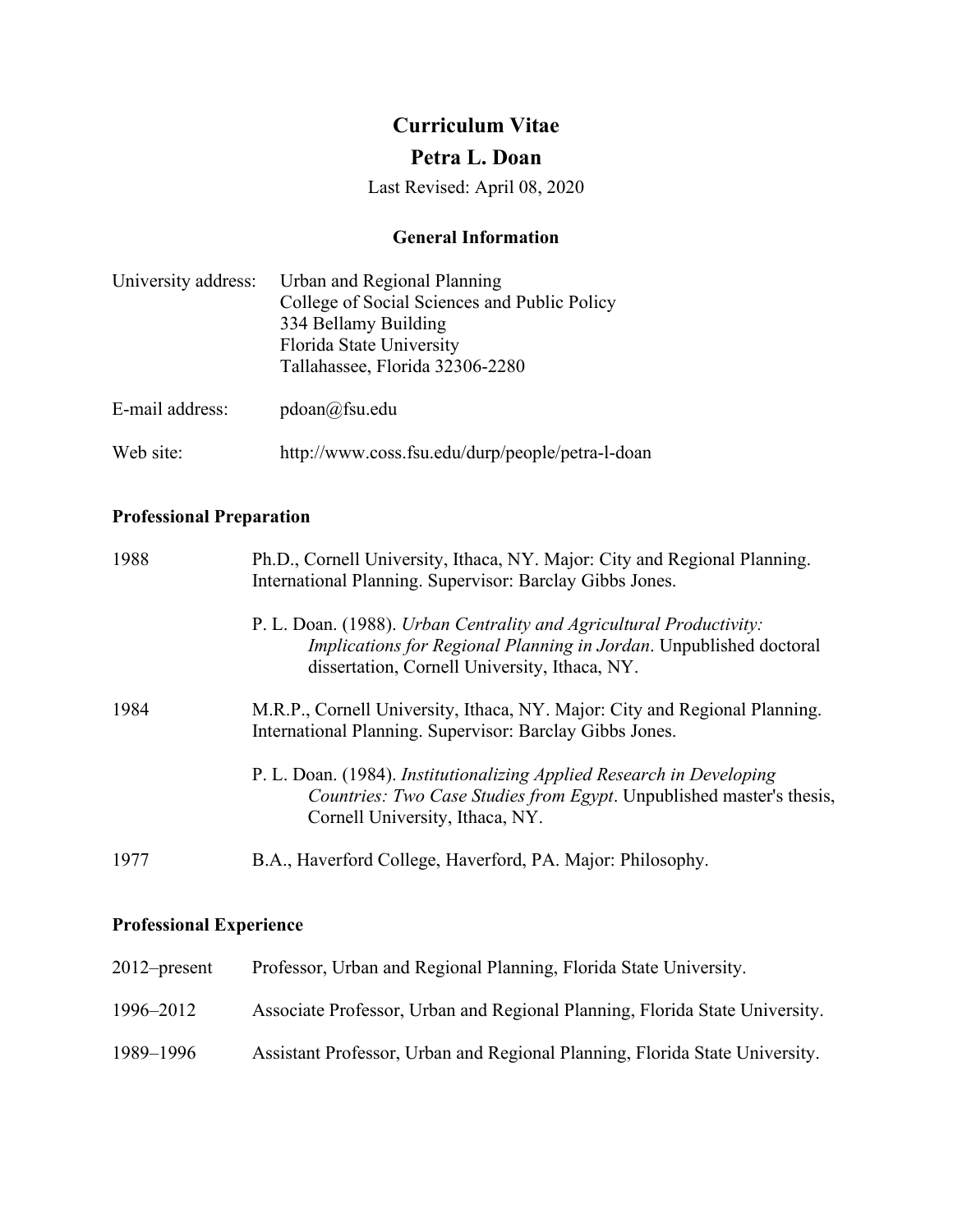# **Curriculum Vitae**

# **Petra L. Doan**

Last Revised: April 08, 2020

### **General Information**

| University address: | Urban and Regional Planning<br>College of Social Sciences and Public Policy<br>334 Bellamy Building<br>Florida State University<br>Tallahassee, Florida 32306-2280 |
|---------------------|--------------------------------------------------------------------------------------------------------------------------------------------------------------------|
| E-mail address:     | $pdoan(a)$ fsu.edu                                                                                                                                                 |
| Web site:           | http://www.coss.fsu.edu/durp/people/petra-l-doan                                                                                                                   |

# **Professional Preparation**

| 1988 | Ph.D., Cornell University, Ithaca, NY. Major: City and Regional Planning.<br>International Planning. Supervisor: Barclay Gibbs Jones.                                                      |
|------|--------------------------------------------------------------------------------------------------------------------------------------------------------------------------------------------|
|      | P. L. Doan. (1988). Urban Centrality and Agricultural Productivity:<br>Implications for Regional Planning in Jordan. Unpublished doctoral<br>dissertation, Cornell University, Ithaca, NY. |
| 1984 | M.R.P., Cornell University, Ithaca, NY. Major: City and Regional Planning.<br>International Planning. Supervisor: Barclay Gibbs Jones.                                                     |
|      | P. L. Doan. (1984). Institutionalizing Applied Research in Developing<br><i>Countries: Two Case Studies from Egypt.</i> Unpublished master's thesis,<br>Cornell University, Ithaca, NY.    |
| 1977 | B.A., Haverford College, Haverford, PA. Major: Philosophy.                                                                                                                                 |

# **Professional Experience**

| $2012$ -present | Professor, Urban and Regional Planning, Florida State University.           |
|-----------------|-----------------------------------------------------------------------------|
| 1996–2012       | Associate Professor, Urban and Regional Planning, Florida State University. |
| 1989–1996       | Assistant Professor, Urban and Regional Planning, Florida State University. |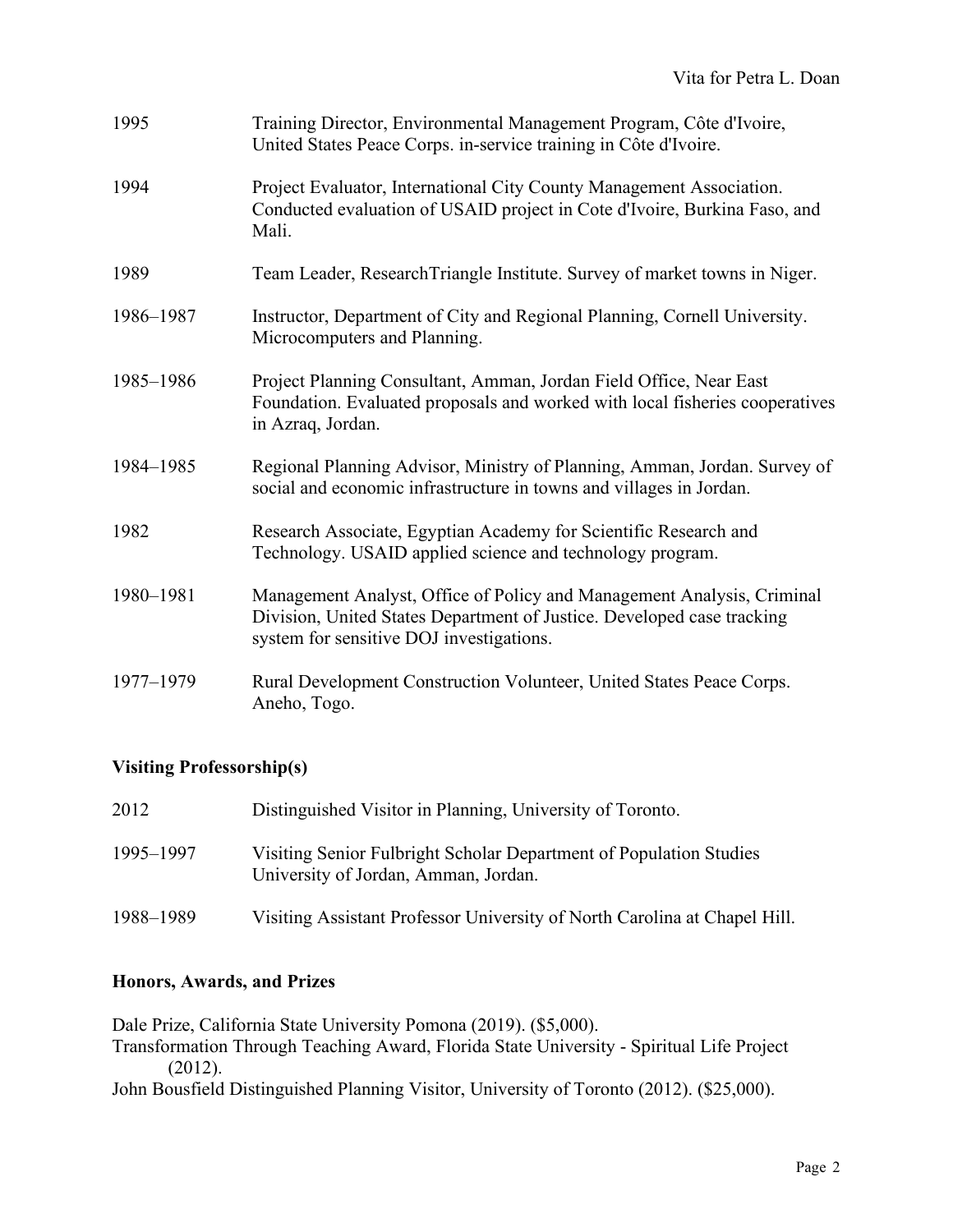| 1995      | Training Director, Environmental Management Program, Côte d'Ivoire,<br>United States Peace Corps. in-service training in Côte d'Ivoire.                                                      |
|-----------|----------------------------------------------------------------------------------------------------------------------------------------------------------------------------------------------|
| 1994      | Project Evaluator, International City County Management Association.<br>Conducted evaluation of USAID project in Cote d'Ivoire, Burkina Faso, and<br>Mali.                                   |
| 1989      | Team Leader, Research Triangle Institute. Survey of market towns in Niger.                                                                                                                   |
| 1986-1987 | Instructor, Department of City and Regional Planning, Cornell University.<br>Microcomputers and Planning.                                                                                    |
| 1985-1986 | Project Planning Consultant, Amman, Jordan Field Office, Near East<br>Foundation. Evaluated proposals and worked with local fisheries cooperatives<br>in Azraq, Jordan.                      |
| 1984-1985 | Regional Planning Advisor, Ministry of Planning, Amman, Jordan. Survey of<br>social and economic infrastructure in towns and villages in Jordan.                                             |
| 1982      | Research Associate, Egyptian Academy for Scientific Research and<br>Technology. USAID applied science and technology program.                                                                |
| 1980-1981 | Management Analyst, Office of Policy and Management Analysis, Criminal<br>Division, United States Department of Justice. Developed case tracking<br>system for sensitive DOJ investigations. |
| 1977-1979 | Rural Development Construction Volunteer, United States Peace Corps.<br>Aneho, Togo.                                                                                                         |

## **Visiting Professorship(s)**

| 2012      | Distinguished Visitor in Planning, University of Toronto.                                                  |
|-----------|------------------------------------------------------------------------------------------------------------|
| 1995–1997 | Visiting Senior Fulbright Scholar Department of Population Studies<br>University of Jordan, Amman, Jordan. |
| 1988–1989 | Visiting Assistant Professor University of North Carolina at Chapel Hill.                                  |

## **Honors, Awards, and Prizes**

Dale Prize, California State University Pomona (2019). (\$5,000). Transformation Through Teaching Award, Florida State University - Spiritual Life Project (2012). John Bousfield Distinguished Planning Visitor, University of Toronto (2012). (\$25,000).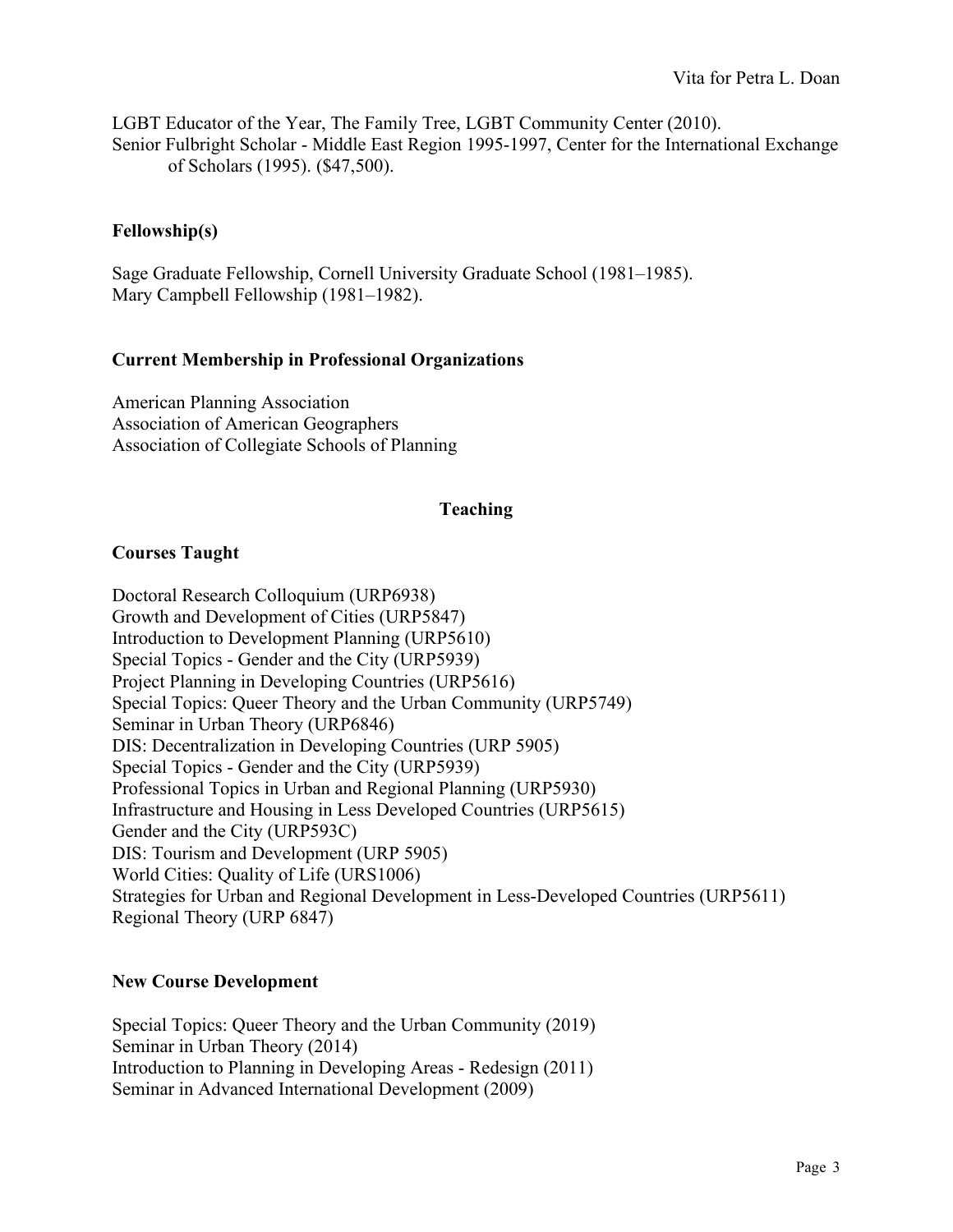LGBT Educator of the Year, The Family Tree, LGBT Community Center (2010). Senior Fulbright Scholar - Middle East Region 1995-1997, Center for the International Exchange of Scholars (1995). (\$47,500).

### **Fellowship(s)**

Sage Graduate Fellowship, Cornell University Graduate School (1981–1985). Mary Campbell Fellowship (1981–1982).

### **Current Membership in Professional Organizations**

American Planning Association Association of American Geographers Association of Collegiate Schools of Planning

### **Teaching**

### **Courses Taught**

Doctoral Research Colloquium (URP6938) Growth and Development of Cities (URP5847) Introduction to Development Planning (URP5610) Special Topics - Gender and the City (URP5939) Project Planning in Developing Countries (URP5616) Special Topics: Queer Theory and the Urban Community (URP5749) Seminar in Urban Theory (URP6846) DIS: Decentralization in Developing Countries (URP 5905) Special Topics - Gender and the City (URP5939) Professional Topics in Urban and Regional Planning (URP5930) Infrastructure and Housing in Less Developed Countries (URP5615) Gender and the City (URP593C) DIS: Tourism and Development (URP 5905) World Cities: Quality of Life (URS1006) Strategies for Urban and Regional Development in Less-Developed Countries (URP5611) Regional Theory (URP 6847)

### **New Course Development**

Special Topics: Queer Theory and the Urban Community (2019) Seminar in Urban Theory (2014) Introduction to Planning in Developing Areas - Redesign (2011) Seminar in Advanced International Development (2009)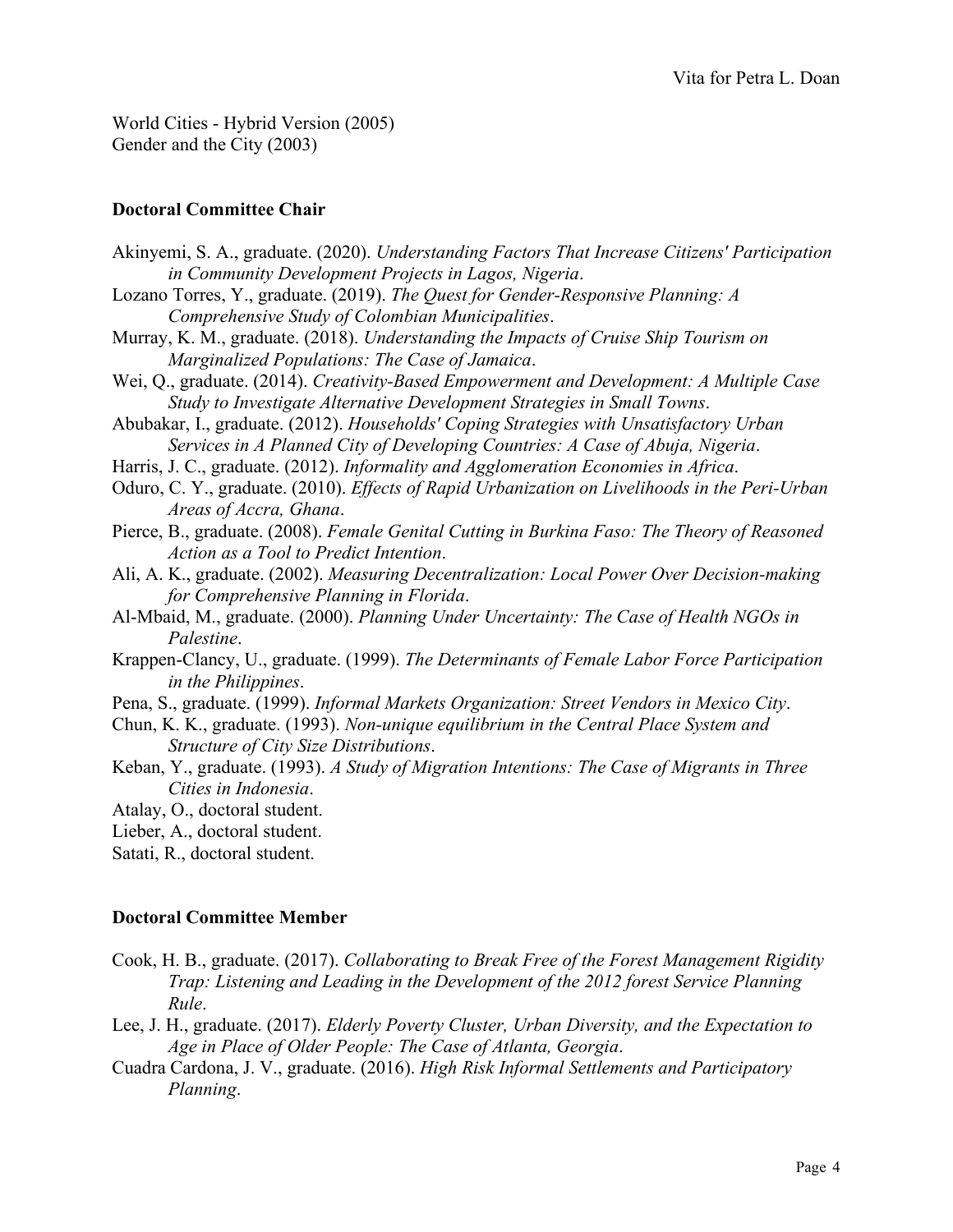World Cities - Hybrid Version (2005) Gender and the City (2003)

### **Doctoral Committee Chair**

| Akinyemi, S. A., graduate. (2020). Understanding Factors That Increase Citizens' Participation |
|------------------------------------------------------------------------------------------------|
| in Community Development Projects in Lagos, Nigeria.                                           |
| Lozano Torres, Y., graduate. (2019). The Quest for Gender-Responsive Planning: A               |
| Comprehensive Study of Colombian Municipalities.                                               |
| Murray, K. M., graduate. (2018). Understanding the Impacts of Cruise Ship Tourism on           |
| Marginalized Populations: The Case of Jamaica.                                                 |
| Wei, Q., graduate. (2014). Creativity-Based Empowerment and Development: A Multiple Case       |
| Study to Investigate Alternative Development Strategies in Small Towns.                        |
| Abubakar, I., graduate. (2012). Households' Coping Strategies with Unsatisfactory Urban        |
| Services in A Planned City of Developing Countries: A Case of Abuja, Nigeria.                  |
| Harris, J. C., graduate. (2012). Informality and Agglomeration Economies in Africa.            |
| Oduro, C. Y., graduate. (2010). Effects of Rapid Urbanization on Livelihoods in the Peri-Urban |
| Areas of Accra, Ghana.                                                                         |
| Pierce, B., graduate. (2008). Female Genital Cutting in Burkina Faso: The Theory of Reasoned   |
| Action as a Tool to Predict Intention.                                                         |
| Ali, A. K., graduate. (2002). Measuring Decentralization: Local Power Over Decision-making     |
| for Comprehensive Planning in Florida.                                                         |
| Al-Mbaid, M., graduate. (2000). Planning Under Uncertainty: The Case of Health NGOs in         |
| Palestine.                                                                                     |
| Krappen-Clancy, U., graduate. (1999). The Determinants of Female Labor Force Participation     |
| in the Philippines.                                                                            |
| Pena, S., graduate. (1999). Informal Markets Organization: Street Vendors in Mexico City.      |
| Chun, K. K., graduate. (1993). Non-unique equilibrium in the Central Place System and          |
| Structure of City Size Distributions.                                                          |
| Keban, Y., graduate. (1993). A Study of Migration Intentions: The Case of Migrants in Three    |
| Cities in Indonesia.                                                                           |
| Atalay, O., doctoral student.                                                                  |
| Lieber, A., doctoral student.                                                                  |
| Satati, R., doctoral student.                                                                  |

## **Doctoral Committee Member**

- Cook, H. B., graduate. (2017). *Collaborating to Break Free of the Forest Management Rigidity Trap: Listening and Leading in the Development of the 2012 forest Service Planning Rule*.
- Lee, J. H., graduate. (2017). *Elderly Poverty Cluster, Urban Diversity, and the Expectation to Age in Place of Older People: The Case of Atlanta, Georgia*.
- Cuadra Cardona, J. V., graduate. (2016). *High Risk Informal Settlements and Participatory Planning*.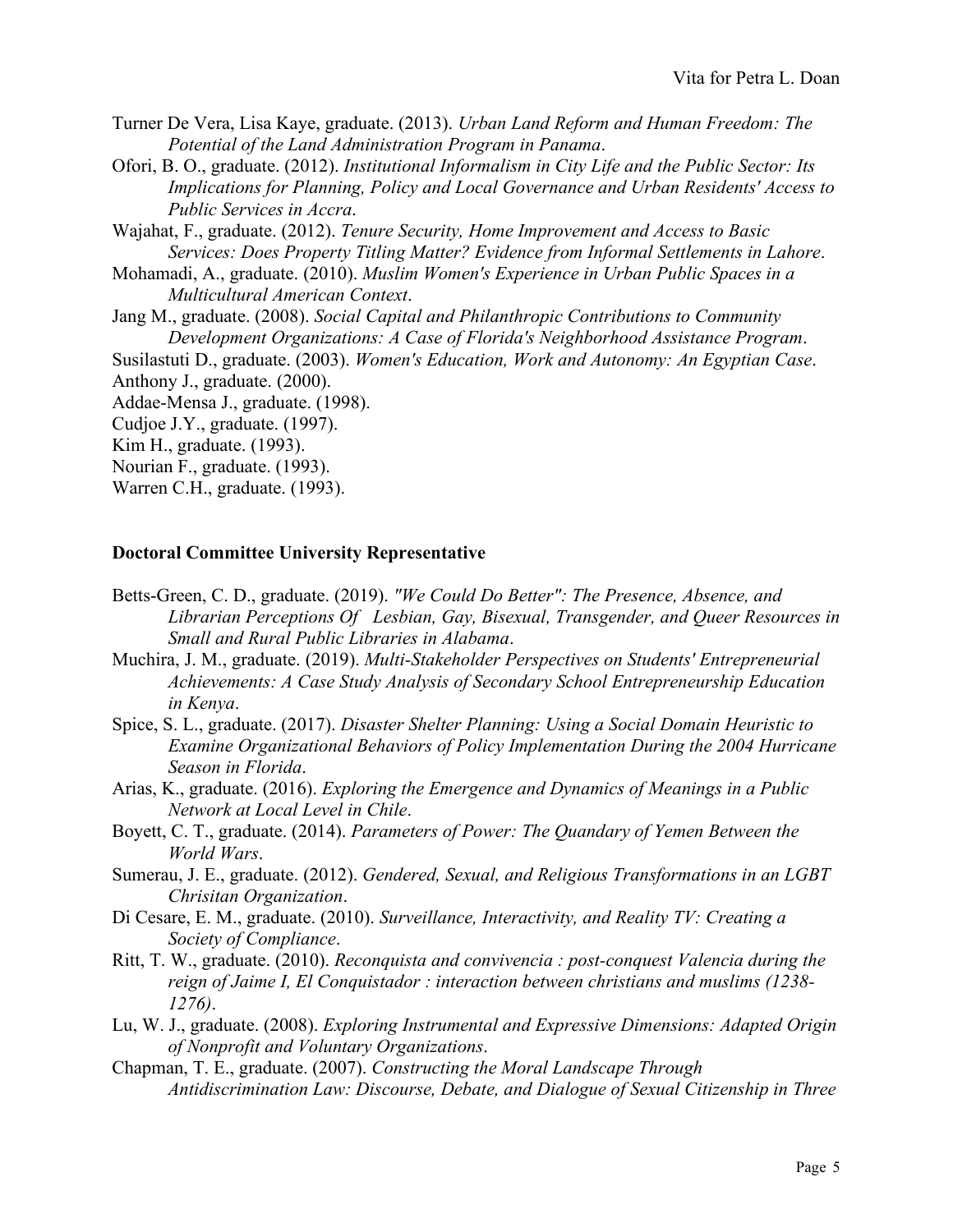- Turner De Vera, Lisa Kaye, graduate. (2013). *Urban Land Reform and Human Freedom: The Potential of the Land Administration Program in Panama*.
- Ofori, B. O., graduate. (2012). *Institutional Informalism in City Life and the Public Sector: Its Implications for Planning, Policy and Local Governance and Urban Residents' Access to Public Services in Accra*.
- Wajahat, F., graduate. (2012). *Tenure Security, Home Improvement and Access to Basic Services: Does Property Titling Matter? Evidence from Informal Settlements in Lahore*.
- Mohamadi, A., graduate. (2010). *Muslim Women's Experience in Urban Public Spaces in a Multicultural American Context*.
- Jang M., graduate. (2008). *Social Capital and Philanthropic Contributions to Community Development Organizations: A Case of Florida's Neighborhood Assistance Program*.

Susilastuti D., graduate. (2003). *Women's Education, Work and Autonomy: An Egyptian Case*.

Anthony J., graduate. (2000).

Addae-Mensa J., graduate. (1998).

Cudjoe J.Y., graduate. (1997).

Kim H., graduate. (1993).

Nourian F., graduate. (1993).

Warren C.H., graduate. (1993).

#### **Doctoral Committee University Representative**

- Betts-Green, C. D., graduate. (2019). *"We Could Do Better": The Presence, Absence, and Librarian Perceptions Of Lesbian, Gay, Bisexual, Transgender, and Queer Resources in Small and Rural Public Libraries in Alabama*.
- Muchira, J. M., graduate. (2019). *Multi-Stakeholder Perspectives on Students' Entrepreneurial Achievements: A Case Study Analysis of Secondary School Entrepreneurship Education in Kenya*.
- Spice, S. L., graduate. (2017). *Disaster Shelter Planning: Using a Social Domain Heuristic to Examine Organizational Behaviors of Policy Implementation During the 2004 Hurricane Season in Florida*.
- Arias, K., graduate. (2016). *Exploring the Emergence and Dynamics of Meanings in a Public Network at Local Level in Chile*.
- Boyett, C. T., graduate. (2014). *Parameters of Power: The Quandary of Yemen Between the World Wars*.
- Sumerau, J. E., graduate. (2012). *Gendered, Sexual, and Religious Transformations in an LGBT Chrisitan Organization*.
- Di Cesare, E. M., graduate. (2010). *Surveillance, Interactivity, and Reality TV: Creating a Society of Compliance*.
- Ritt, T. W., graduate. (2010). *Reconquista and convivencia : post-conquest Valencia during the reign of Jaime I, El Conquistador : interaction between christians and muslims (1238- 1276)*.
- Lu, W. J., graduate. (2008). *Exploring Instrumental and Expressive Dimensions: Adapted Origin of Nonprofit and Voluntary Organizations*.
- Chapman, T. E., graduate. (2007). *Constructing the Moral Landscape Through Antidiscrimination Law: Discourse, Debate, and Dialogue of Sexual Citizenship in Three*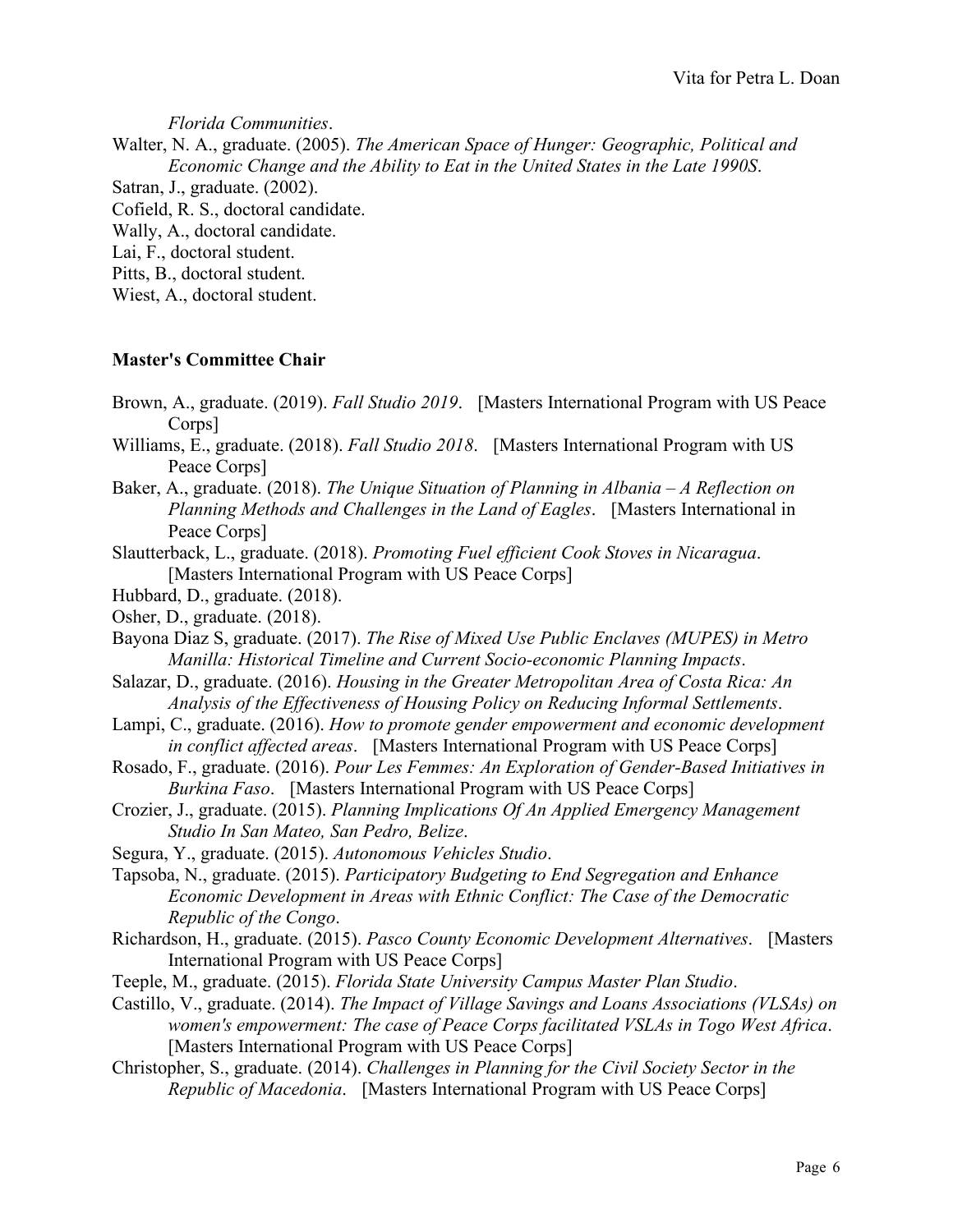*Florida Communities*.

Walter, N. A., graduate. (2005). *The American Space of Hunger: Geographic, Political and Economic Change and the Ability to Eat in the United States in the Late 1990S*.

Satran, J., graduate. (2002). Cofield, R. S., doctoral candidate. Wally, A., doctoral candidate. Lai, F., doctoral student. Pitts, B., doctoral student. Wiest, A., doctoral student.

### **Master's Committee Chair**

- Brown, A., graduate. (2019). *Fall Studio 2019*. [Masters International Program with US Peace Corps<sup>1</sup>
- Williams, E., graduate. (2018). *Fall Studio 2018*. [Masters International Program with US Peace Corps]
- Baker, A., graduate. (2018). *The Unique Situation of Planning in Albania – A Reflection on Planning Methods and Challenges in the Land of Eagles*. [Masters International in Peace Corps]
- Slautterback, L., graduate. (2018). *Promoting Fuel efficient Cook Stoves in Nicaragua*. [Masters International Program with US Peace Corps]
- Hubbard, D., graduate. (2018).
- Osher, D., graduate. (2018).
- Bayona Diaz S, graduate. (2017). *The Rise of Mixed Use Public Enclaves (MUPES) in Metro Manilla: Historical Timeline and Current Socio-economic Planning Impacts*.
- Salazar, D., graduate. (2016). *Housing in the Greater Metropolitan Area of Costa Rica: An Analysis of the Effectiveness of Housing Policy on Reducing Informal Settlements*.
- Lampi, C., graduate. (2016). *How to promote gender empowerment and economic development in conflict affected areas*. [Masters International Program with US Peace Corps]
- Rosado, F., graduate. (2016). *Pour Les Femmes: An Exploration of Gender-Based Initiatives in Burkina Faso*. [Masters International Program with US Peace Corps]
- Crozier, J., graduate. (2015). *Planning Implications Of An Applied Emergency Management Studio In San Mateo, San Pedro, Belize*.
- Segura, Y., graduate. (2015). *Autonomous Vehicles Studio*.
- Tapsoba, N., graduate. (2015). *Participatory Budgeting to End Segregation and Enhance Economic Development in Areas with Ethnic Conflict: The Case of the Democratic Republic of the Congo*.
- Richardson, H., graduate. (2015). *Pasco County Economic Development Alternatives*. [Masters International Program with US Peace Corps]
- Teeple, M., graduate. (2015). *Florida State University Campus Master Plan Studio*.
- Castillo, V., graduate. (2014). *The Impact of Village Savings and Loans Associations (VLSAs) on women's empowerment: The case of Peace Corps facilitated VSLAs in Togo West Africa*. [Masters International Program with US Peace Corps]
- Christopher, S., graduate. (2014). *Challenges in Planning for the Civil Society Sector in the Republic of Macedonia*. [Masters International Program with US Peace Corps]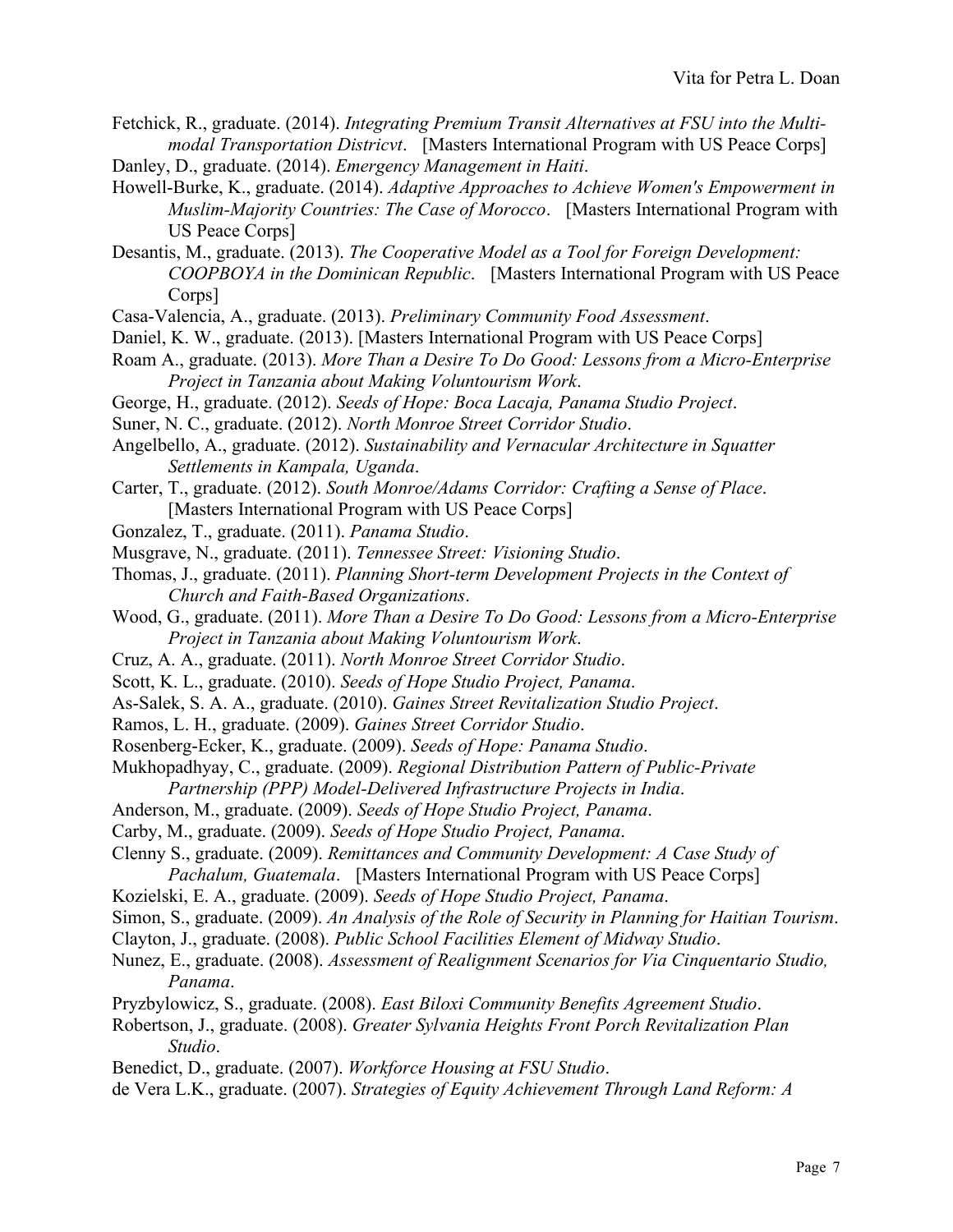- Fetchick, R., graduate. (2014). *Integrating Premium Transit Alternatives at FSU into the Multimodal Transportation Districvt*. [Masters International Program with US Peace Corps] Danley, D., graduate. (2014). *Emergency Management in Haiti*.
- Howell-Burke, K., graduate. (2014). *Adaptive Approaches to Achieve Women's Empowerment in Muslim-Majority Countries: The Case of Morocco*. [Masters International Program with US Peace Corps]
- Desantis, M., graduate. (2013). *The Cooperative Model as a Tool for Foreign Development: COOPBOYA in the Dominican Republic*. [Masters International Program with US Peace Corps]
- Casa-Valencia, A., graduate. (2013). *Preliminary Community Food Assessment*.
- Daniel, K. W., graduate. (2013). [Masters International Program with US Peace Corps]
- Roam A., graduate. (2013). *More Than a Desire To Do Good: Lessons from a Micro-Enterprise Project in Tanzania about Making Voluntourism Work*.
- George, H., graduate. (2012). *Seeds of Hope: Boca Lacaja, Panama Studio Project*.
- Suner, N. C., graduate. (2012). *North Monroe Street Corridor Studio*.
- Angelbello, A., graduate. (2012). *Sustainability and Vernacular Architecture in Squatter Settlements in Kampala, Uganda*.
- Carter, T., graduate. (2012). *South Monroe/Adams Corridor: Crafting a Sense of Place*. [Masters International Program with US Peace Corps]
- Gonzalez, T., graduate. (2011). *Panama Studio*.
- Musgrave, N., graduate. (2011). *Tennessee Street: Visioning Studio*.
- Thomas, J., graduate. (2011). *Planning Short-term Development Projects in the Context of Church and Faith-Based Organizations*.
- Wood, G., graduate. (2011). *More Than a Desire To Do Good: Lessons from a Micro-Enterprise Project in Tanzania about Making Voluntourism Work*.
- Cruz, A. A., graduate. (2011). *North Monroe Street Corridor Studio*.
- Scott, K. L., graduate. (2010). *Seeds of Hope Studio Project, Panama*.
- As-Salek, S. A. A., graduate. (2010). *Gaines Street Revitalization Studio Project*.
- Ramos, L. H., graduate. (2009). *Gaines Street Corridor Studio*.
- Rosenberg-Ecker, K., graduate. (2009). *Seeds of Hope: Panama Studio*.
- Mukhopadhyay, C., graduate. (2009). *Regional Distribution Pattern of Public-Private Partnership (PPP) Model-Delivered Infrastructure Projects in India*.
- Anderson, M., graduate. (2009). *Seeds of Hope Studio Project, Panama*.
- Carby, M., graduate. (2009). *Seeds of Hope Studio Project, Panama*.
- Clenny S., graduate. (2009). *Remittances and Community Development: A Case Study of Pachalum, Guatemala*. [Masters International Program with US Peace Corps]
- Kozielski, E. A., graduate. (2009). *Seeds of Hope Studio Project, Panama*.
- Simon, S., graduate. (2009). *An Analysis of the Role of Security in Planning for Haitian Tourism*.
- Clayton, J., graduate. (2008). *Public School Facilities Element of Midway Studio*.
- Nunez, E., graduate. (2008). *Assessment of Realignment Scenarios for Via Cinquentario Studio, Panama*.
- Pryzbylowicz, S., graduate. (2008). *East Biloxi Community Benefits Agreement Studio*.
- Robertson, J., graduate. (2008). *Greater Sylvania Heights Front Porch Revitalization Plan Studio*.
- Benedict, D., graduate. (2007). *Workforce Housing at FSU Studio*.
- de Vera L.K., graduate. (2007). *Strategies of Equity Achievement Through Land Reform: A*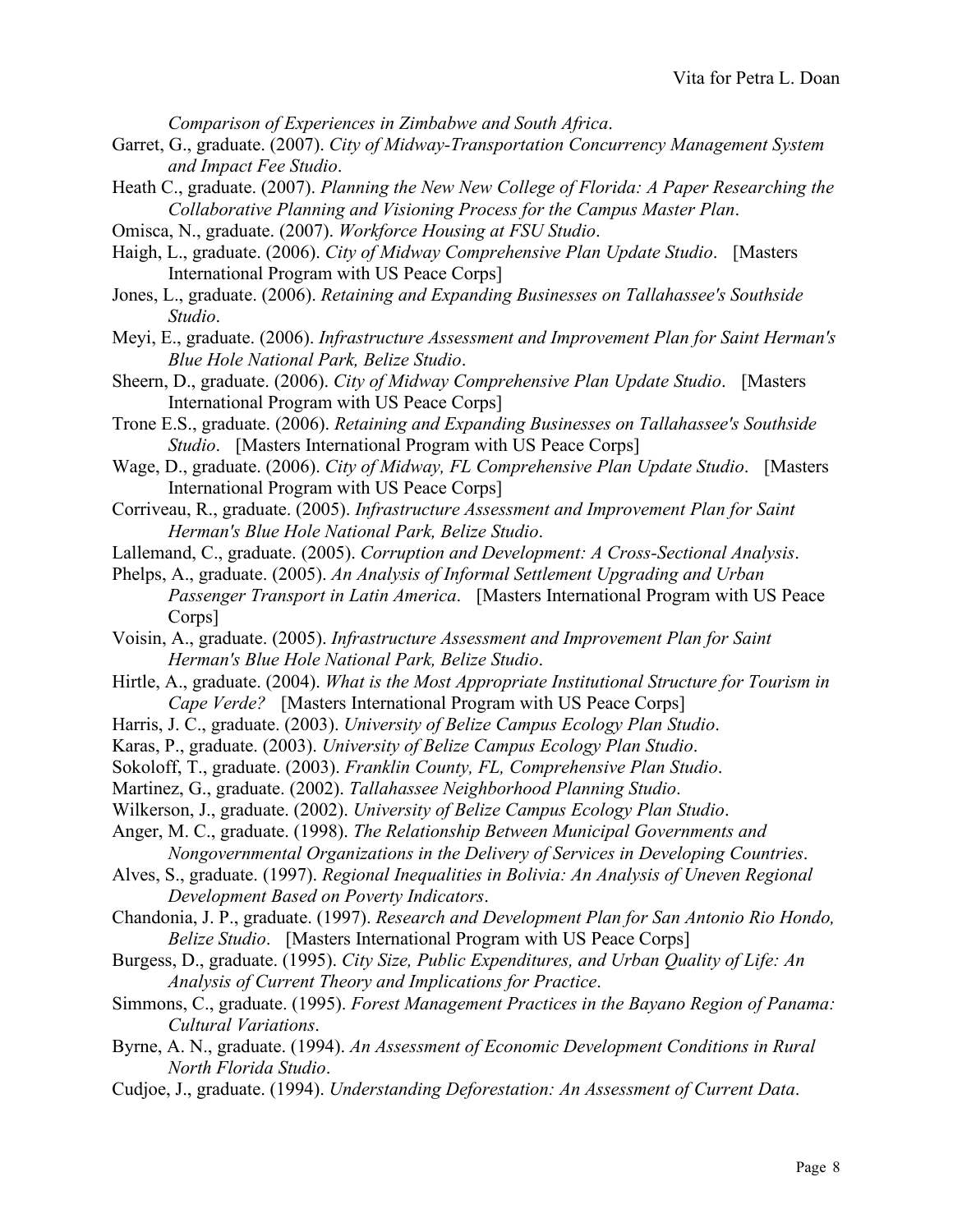*Comparison of Experiences in Zimbabwe and South Africa*.

- Garret, G., graduate. (2007). *City of Midway-Transportation Concurrency Management System and Impact Fee Studio*.
- Heath C., graduate. (2007). *Planning the New New College of Florida: A Paper Researching the Collaborative Planning and Visioning Process for the Campus Master Plan*.
- Omisca, N., graduate. (2007). *Workforce Housing at FSU Studio*.
- Haigh, L., graduate. (2006). *City of Midway Comprehensive Plan Update Studio*. [Masters International Program with US Peace Corps]
- Jones, L., graduate. (2006). *Retaining and Expanding Businesses on Tallahassee's Southside Studio*.
- Meyi, E., graduate. (2006). *Infrastructure Assessment and Improvement Plan for Saint Herman's Blue Hole National Park, Belize Studio*.
- Sheern, D., graduate. (2006). *City of Midway Comprehensive Plan Update Studio*. [Masters International Program with US Peace Corps]
- Trone E.S., graduate. (2006). *Retaining and Expanding Businesses on Tallahassee's Southside Studio*. [Masters International Program with US Peace Corps]
- Wage, D., graduate. (2006). *City of Midway, FL Comprehensive Plan Update Studio*. [Masters International Program with US Peace Corps]
- Corriveau, R., graduate. (2005). *Infrastructure Assessment and Improvement Plan for Saint Herman's Blue Hole National Park, Belize Studio*.
- Lallemand, C., graduate. (2005). *Corruption and Development: A Cross-Sectional Analysis*.
- Phelps, A., graduate. (2005). *An Analysis of Informal Settlement Upgrading and Urban Passenger Transport in Latin America*. [Masters International Program with US Peace Corps]
- Voisin, A., graduate. (2005). *Infrastructure Assessment and Improvement Plan for Saint Herman's Blue Hole National Park, Belize Studio*.
- Hirtle, A., graduate. (2004). *What is the Most Appropriate Institutional Structure for Tourism in Cape Verde?* [Masters International Program with US Peace Corps]
- Harris, J. C., graduate. (2003). *University of Belize Campus Ecology Plan Studio*.
- Karas, P., graduate. (2003). *University of Belize Campus Ecology Plan Studio*.
- Sokoloff, T., graduate. (2003). *Franklin County, FL, Comprehensive Plan Studio*.
- Martinez, G., graduate. (2002). *Tallahassee Neighborhood Planning Studio*.
- Wilkerson, J., graduate. (2002). *University of Belize Campus Ecology Plan Studio*.
- Anger, M. C., graduate. (1998). *The Relationship Between Municipal Governments and Nongovernmental Organizations in the Delivery of Services in Developing Countries*.
- Alves, S., graduate. (1997). *Regional Inequalities in Bolivia: An Analysis of Uneven Regional Development Based on Poverty Indicators*.
- Chandonia, J. P., graduate. (1997). *Research and Development Plan for San Antonio Rio Hondo, Belize Studio*. [Masters International Program with US Peace Corps]
- Burgess, D., graduate. (1995). *City Size, Public Expenditures, and Urban Quality of Life: An Analysis of Current Theory and Implications for Practice*.
- Simmons, C., graduate. (1995). *Forest Management Practices in the Bayano Region of Panama: Cultural Variations*.
- Byrne, A. N., graduate. (1994). *An Assessment of Economic Development Conditions in Rural North Florida Studio*.
- Cudjoe, J., graduate. (1994). *Understanding Deforestation: An Assessment of Current Data*.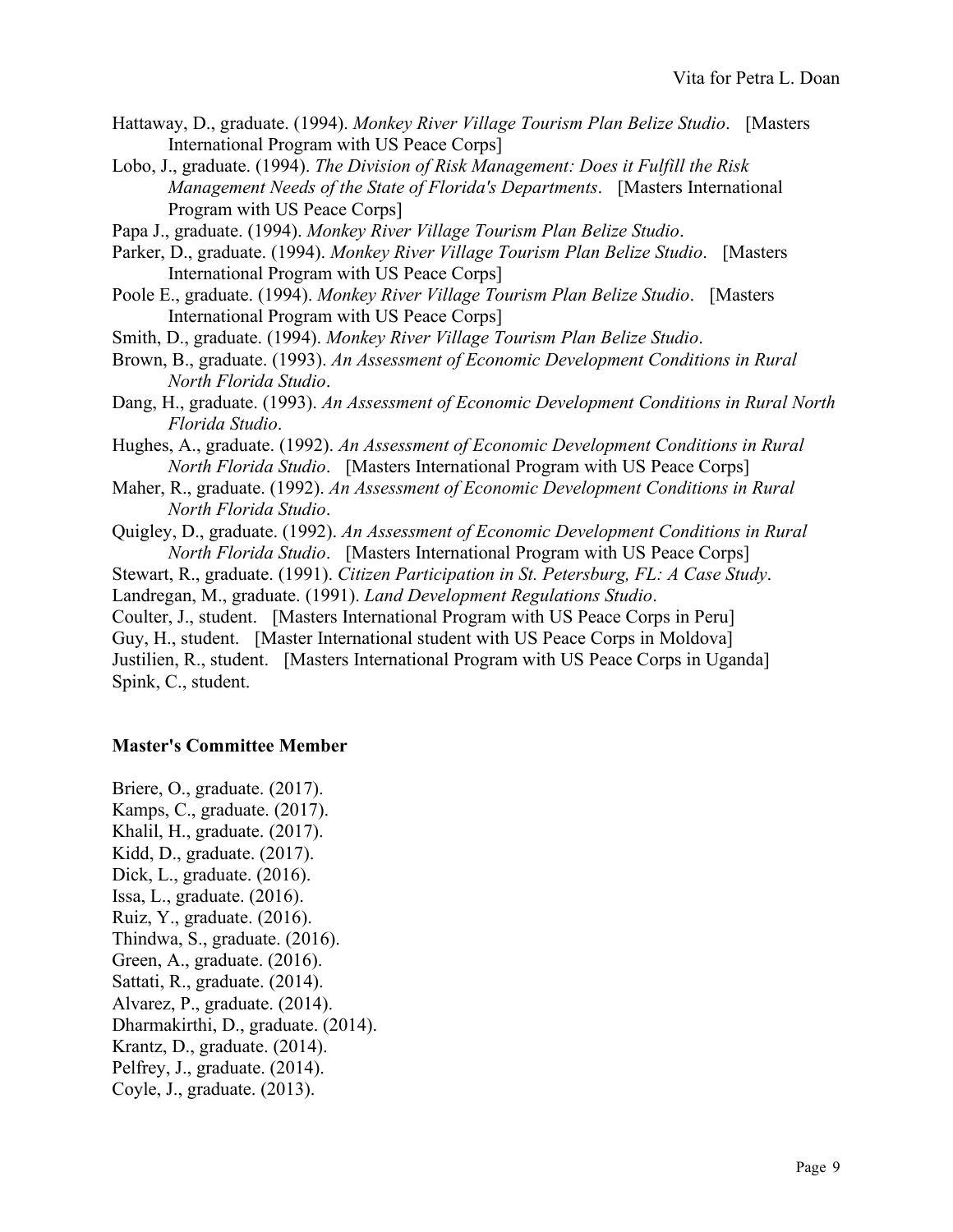- Hattaway, D., graduate. (1994). *Monkey River Village Tourism Plan Belize Studio*. [Masters International Program with US Peace Corps]
- Lobo, J., graduate. (1994). *The Division of Risk Management: Does it Fulfill the Risk Management Needs of the State of Florida's Departments*. [Masters International Program with US Peace Corps]
- Papa J., graduate. (1994). *Monkey River Village Tourism Plan Belize Studio*.
- Parker, D., graduate. (1994). *Monkey River Village Tourism Plan Belize Studio*. [Masters International Program with US Peace Corps]
- Poole E., graduate. (1994). *Monkey River Village Tourism Plan Belize Studio*. [Masters International Program with US Peace Corps]
- Smith, D., graduate. (1994). *Monkey River Village Tourism Plan Belize Studio*.
- Brown, B., graduate. (1993). *An Assessment of Economic Development Conditions in Rural North Florida Studio*.
- Dang, H., graduate. (1993). *An Assessment of Economic Development Conditions in Rural North Florida Studio*.
- Hughes, A., graduate. (1992). *An Assessment of Economic Development Conditions in Rural North Florida Studio*. [Masters International Program with US Peace Corps]
- Maher, R., graduate. (1992). *An Assessment of Economic Development Conditions in Rural North Florida Studio*.
- Quigley, D., graduate. (1992). *An Assessment of Economic Development Conditions in Rural North Florida Studio*. [Masters International Program with US Peace Corps]
- Stewart, R., graduate. (1991). *Citizen Participation in St. Petersburg, FL: A Case Study*.

Landregan, M., graduate. (1991). *Land Development Regulations Studio*.

Coulter, J., student. [Masters International Program with US Peace Corps in Peru] Guy, H., student. [Master International student with US Peace Corps in Moldova] Justilien, R., student. [Masters International Program with US Peace Corps in Uganda] Spink, C., student.

### **Master's Committee Member**

Briere, O., graduate. (2017). Kamps, C., graduate. (2017). Khalil, H., graduate. (2017). Kidd, D., graduate. (2017). Dick, L., graduate. (2016). Issa, L., graduate. (2016). Ruiz, Y., graduate. (2016). Thindwa, S., graduate. (2016). Green, A., graduate. (2016). Sattati, R., graduate. (2014). Alvarez, P., graduate. (2014). Dharmakirthi, D., graduate. (2014). Krantz, D., graduate. (2014). Pelfrey, J., graduate. (2014). Coyle, J., graduate. (2013).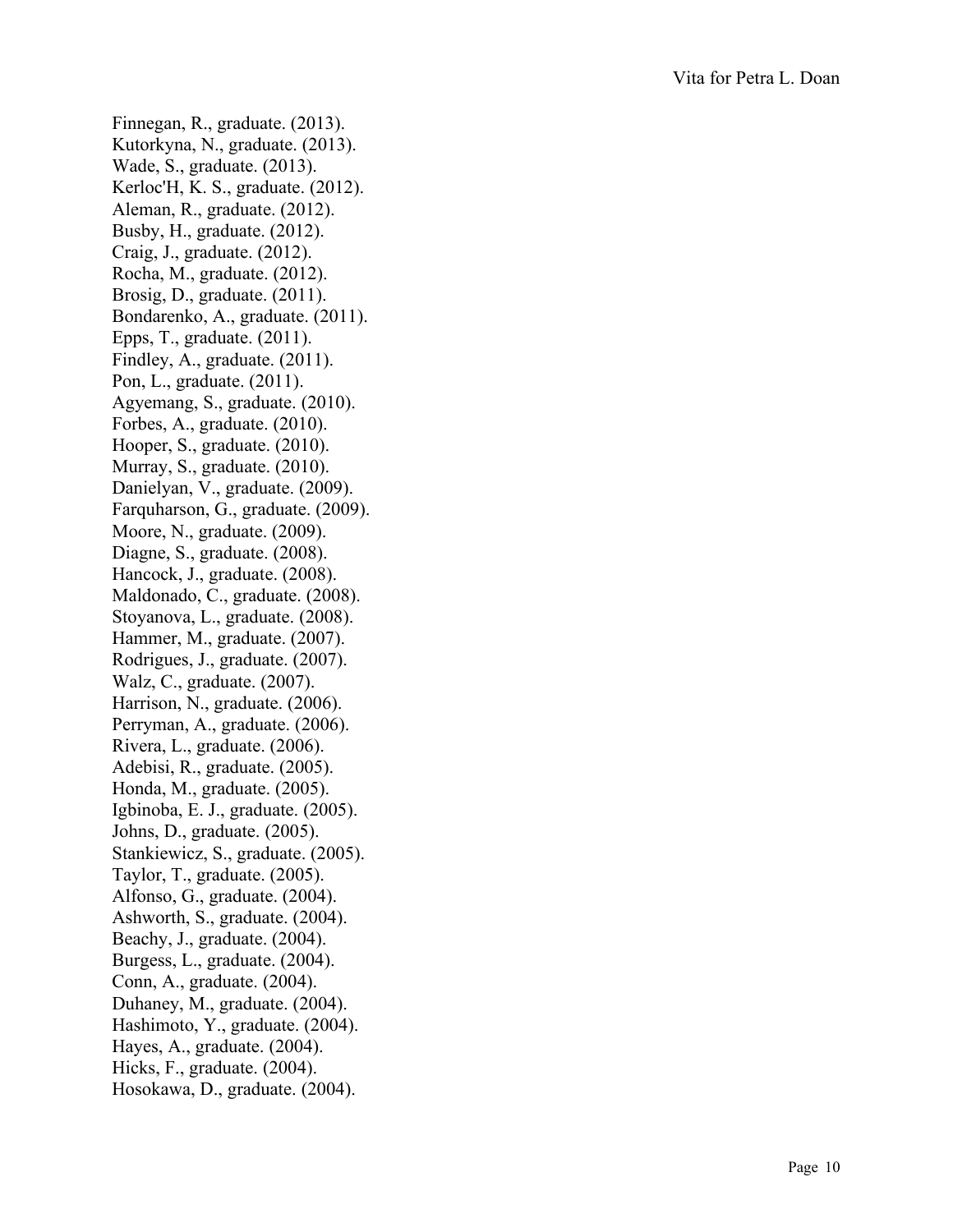Finnegan, R., graduate. (2013). Kutorkyna, N., graduate. (2013). Wade, S., graduate. (2013). Kerloc'H, K. S., graduate. (2012). Aleman, R., graduate. (2012). Busby, H., graduate. (2012). Craig, J., graduate. (2012). Rocha, M., graduate. (2012). Brosig, D., graduate. (2011). Bondarenko, A., graduate. (2011). Epps, T., graduate. (2011). Findley, A., graduate. (2011). Pon, L., graduate. (2011). Agyemang, S., graduate. (2010). Forbes, A., graduate. (2010). Hooper, S., graduate. (2010). Murray, S., graduate. (2010). Danielyan, V., graduate. (2009). Farquharson, G., graduate. (2009). Moore, N., graduate. (2009). Diagne, S., graduate. (2008). Hancock, J., graduate. (2008). Maldonado, C., graduate. (2008). Stoyanova, L., graduate. (2008). Hammer, M., graduate. (2007). Rodrigues, J., graduate. (2007). Walz, C., graduate. (2007). Harrison, N., graduate. (2006). Perryman, A., graduate. (2006). Rivera, L., graduate. (2006). Adebisi, R., graduate. (2005). Honda, M., graduate. (2005). Igbinoba, E. J., graduate. (2005). Johns, D., graduate. (2005). Stankiewicz, S., graduate. (2005). Taylor, T., graduate. (2005). Alfonso, G., graduate. (2004). Ashworth, S., graduate. (2004). Beachy, J., graduate. (2004). Burgess, L., graduate. (2004). Conn, A., graduate. (2004). Duhaney, M., graduate. (2004). Hashimoto, Y., graduate. (2004). Hayes, A., graduate. (2004). Hicks, F., graduate. (2004). Hosokawa, D., graduate. (2004).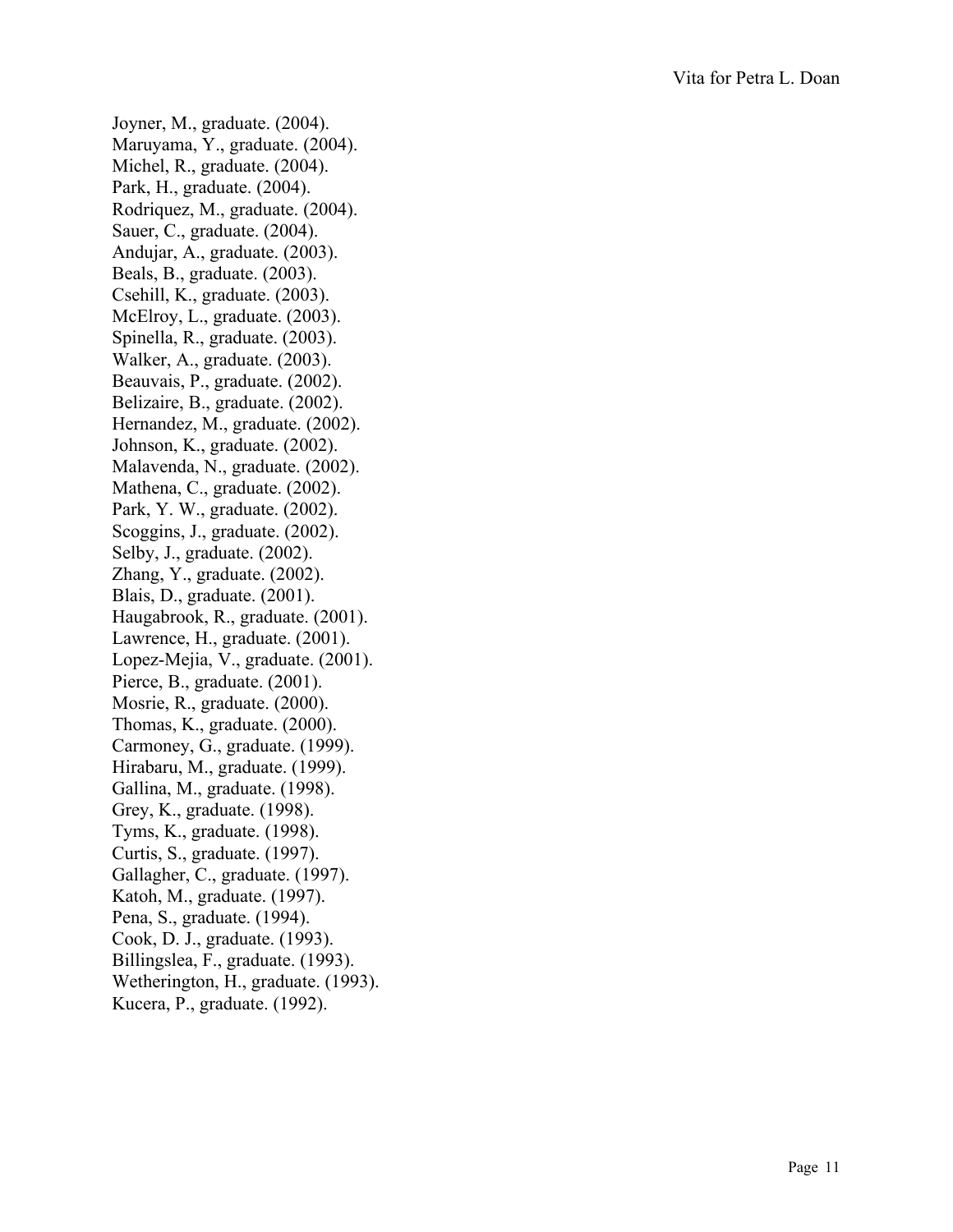Joyner, M., graduate. (2004). Maruyama, Y., graduate. (2004). Michel, R., graduate. (2004). Park, H., graduate. (2004). Rodriquez, M., graduate. (2004). Sauer, C., graduate. (2004). Andujar, A., graduate. (2003). Beals, B., graduate. (2003). Csehill, K., graduate. (2003). McElroy, L., graduate. (2003). Spinella, R., graduate. (2003). Walker, A., graduate. (2003). Beauvais, P., graduate. (2002). Belizaire, B., graduate. (2002). Hernandez, M., graduate. (2002). Johnson, K., graduate. (2002). Malavenda, N., graduate. (2002). Mathena, C., graduate. (2002). Park, Y. W., graduate. (2002). Scoggins, J., graduate. (2002). Selby, J., graduate. (2002). Zhang, Y., graduate. (2002). Blais, D., graduate. (2001). Haugabrook, R., graduate. (2001). Lawrence, H., graduate. (2001). Lopez -Mejia, V., graduate. (2001). Pierce, B., graduate. (2001). Mosrie, R., graduate. (2000). Thomas, K., graduate. (2000). Carmoney, G., graduate. (1999). Hirabaru, M., graduate. (1999). Gallina, M., graduate. (1998). Grey, K., graduate. (1998). Tyms, K., graduate. (1998). Curtis, S., graduate. (1997). Gallagher, C., graduate. (1997). Katoh, M., graduate. (1997). Pena, S., graduate. (1994). Cook, D. J., graduate. (1993). Billingslea, F., graduate. (1993). Wetherington, H., graduate. (1993). Kucera, P., graduate. (1992).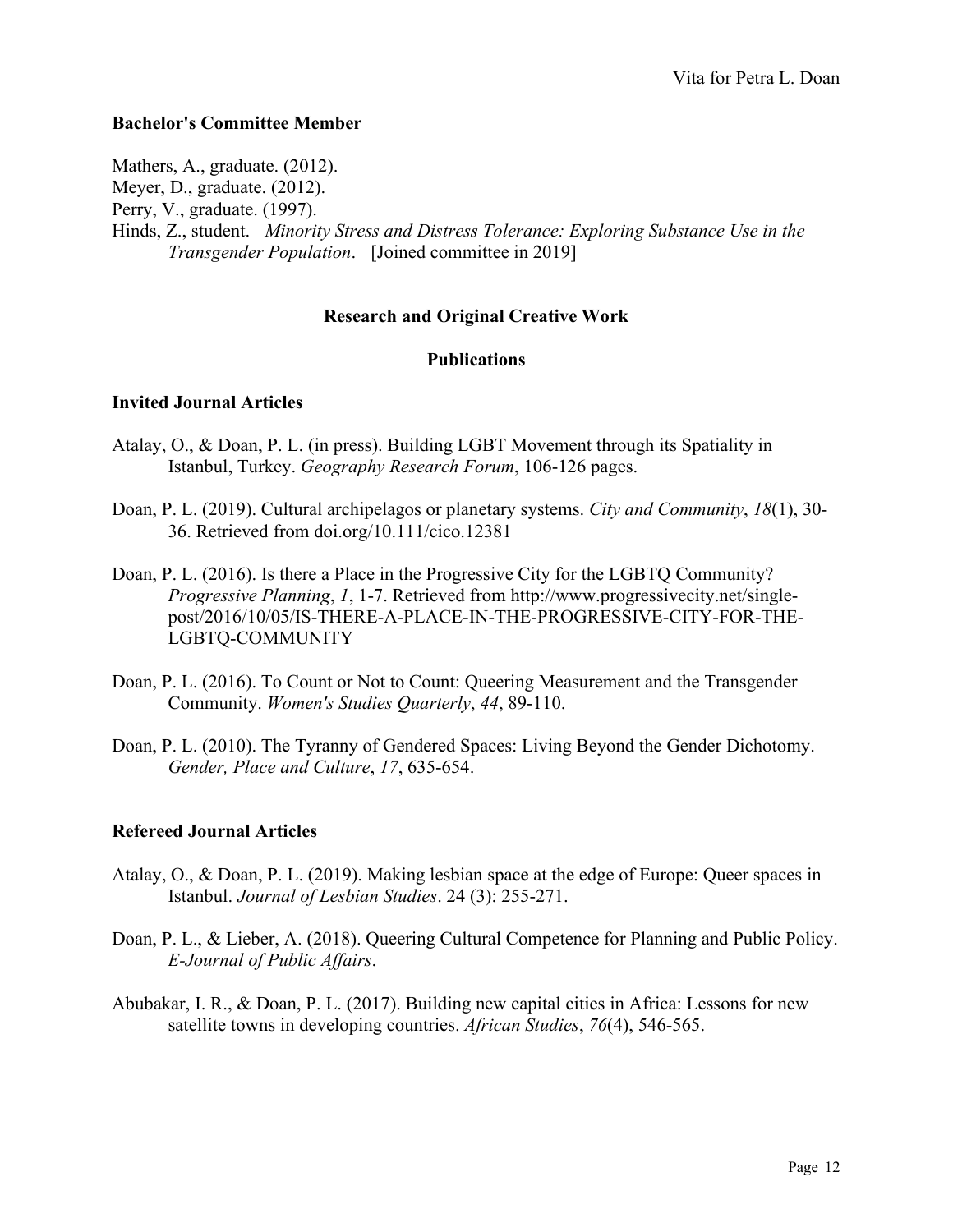### **Bachelor's Committee Member**

Mathers, A., graduate. (2012). Meyer, D., graduate. (2012). Perry, V., graduate. (1997). Hinds, Z., student. *Minority Stress and Distress Tolerance: Exploring Substance Use in the Transgender Population*. [Joined committee in 2019]

### **Research and Original Creative Work**

### **Publications**

### **Invited Journal Articles**

- Atalay, O., & Doan, P. L. (in press). Building LGBT Movement through its Spatiality in Istanbul, Turkey. *Geography Research Forum*, 106-126 pages.
- Doan, P. L. (2019). Cultural archipelagos or planetary systems. *City and Community*, *18*(1), 30- 36. Retrieved from doi.org/10.111/cico.12381
- Doan, P. L. (2016). Is there a Place in the Progressive City for the LGBTQ Community? *Progressive Planning*, *1*, 1-7. Retrieved from [http://www.progressivecity.net/single](http://www.progressivecity.net/single-post/2016/10/05/IS-THERE-A-PLACE-IN-THE-PROGRESSIVE-CITY-FOR-THE-LGBTQ-COMMUNITY)[post/2016/10/05/IS-THERE-A-PLACE-IN-THE-PROGRESSIVE-CITY-FOR-THE-](http://www.progressivecity.net/single-post/2016/10/05/IS-THERE-A-PLACE-IN-THE-PROGRESSIVE-CITY-FOR-THE-LGBTQ-COMMUNITY)[LGBTQ-COMMUNITY](http://www.progressivecity.net/single-post/2016/10/05/IS-THERE-A-PLACE-IN-THE-PROGRESSIVE-CITY-FOR-THE-LGBTQ-COMMUNITY)
- Doan, P. L. (2016). To Count or Not to Count: Queering Measurement and the Transgender Community. *Women's Studies Quarterly*, *44*, 89-110.
- Doan, P. L. (2010). The Tyranny of Gendered Spaces: Living Beyond the Gender Dichotomy. *Gender, Place and Culture*, *17*, 635-654.

### **Refereed Journal Articles**

- Atalay, O., & Doan, P. L. (2019). Making lesbian space at the edge of Europe: Queer spaces in Istanbul. *Journal of Lesbian Studies*. 24 (3): 255-271.
- Doan, P. L., & Lieber, A. (2018). Queering Cultural Competence for Planning and Public Policy. *E-Journal of Public Affairs*.
- Abubakar, I. R., & Doan, P. L. (2017). Building new capital cities in Africa: Lessons for new satellite towns in developing countries. *African Studies*, *76*(4), 546-565.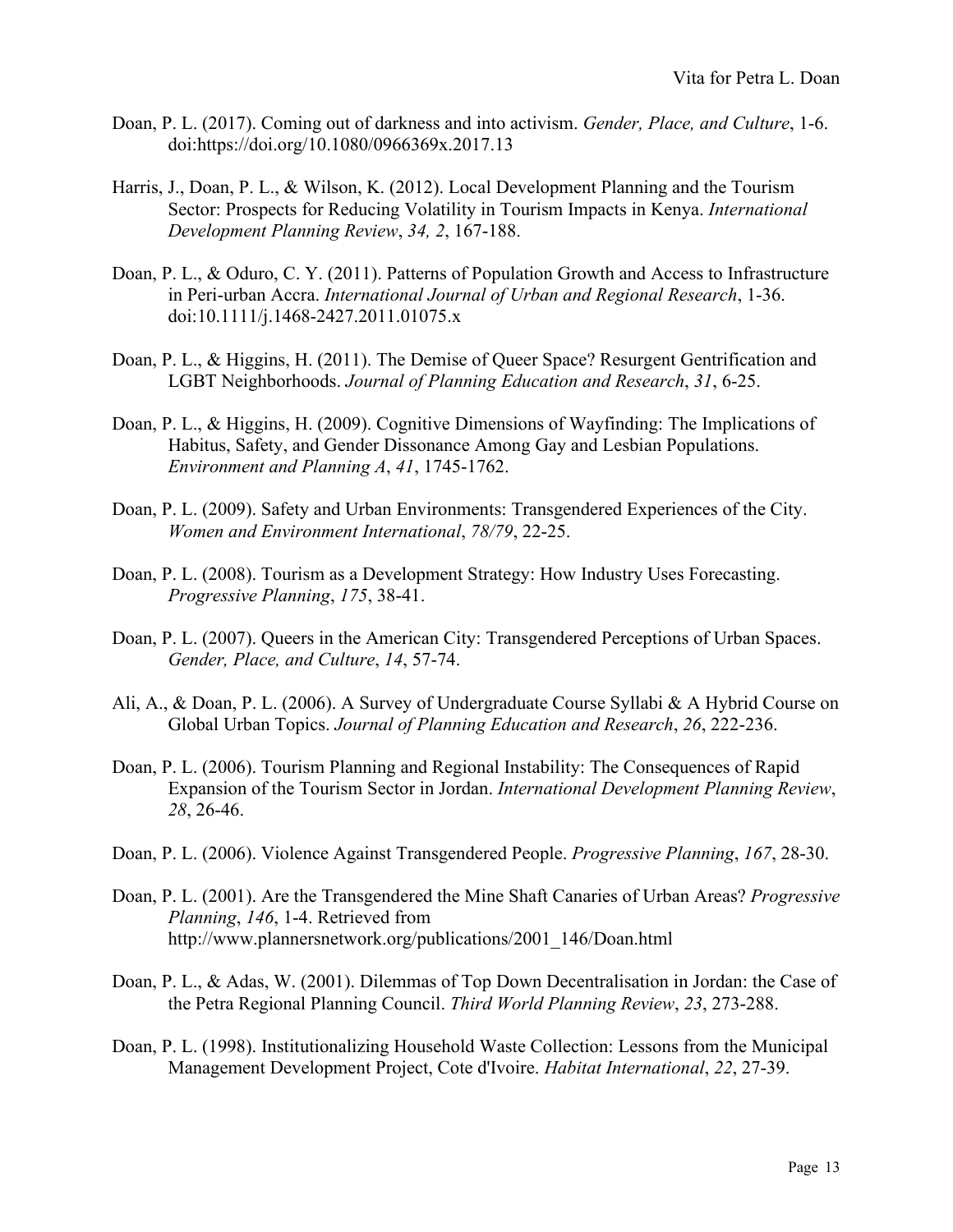- Doan, P. L. (2017). Coming out of darkness and into activism. *Gender, Place, and Culture*, 1-6. doi:https://doi.org/10.1080/0966369x.2017.13
- Harris, J., Doan, P. L., & Wilson, K. (2012). Local Development Planning and the Tourism Sector: Prospects for Reducing Volatility in Tourism Impacts in Kenya. *International Development Planning Review*, *34, 2*, 167-188.
- Doan, P. L., & Oduro, C. Y. (2011). Patterns of Population Growth and Access to Infrastructure in Peri-urban Accra. *International Journal of Urban and Regional Research*, 1-36. doi[:10.1111/j.1468-2427.2011.01075.x](http://dx.doi.org/10.1111/j.1468-2427.2011.01075.x)
- Doan, P. L., & Higgins, H. (2011). The Demise of Queer Space? Resurgent Gentrification and LGBT Neighborhoods. *Journal of Planning Education and Research*, *31*, 6-25.
- Doan, P. L., & Higgins, H. (2009). Cognitive Dimensions of Wayfinding: The Implications of Habitus, Safety, and Gender Dissonance Among Gay and Lesbian Populations. *Environment and Planning A*, *41*, 1745-1762.
- Doan, P. L. (2009). Safety and Urban Environments: Transgendered Experiences of the City. *Women and Environment International*, *78/79*, 22-25.
- Doan, P. L. (2008). Tourism as a Development Strategy: How Industry Uses Forecasting. *Progressive Planning*, *175*, 38-41.
- Doan, P. L. (2007). Queers in the American City: Transgendered Perceptions of Urban Spaces. *Gender, Place, and Culture*, *14*, 57-74.
- Ali, A., & Doan, P. L. (2006). A Survey of Undergraduate Course Syllabi & A Hybrid Course on Global Urban Topics. *Journal of Planning Education and Research*, *26*, 222-236.
- Doan, P. L. (2006). Tourism Planning and Regional Instability: The Consequences of Rapid Expansion of the Tourism Sector in Jordan. *International Development Planning Review*, *28*, 26-46.
- Doan, P. L. (2006). Violence Against Transgendered People. *Progressive Planning*, *167*, 28-30.
- Doan, P. L. (2001). Are the Transgendered the Mine Shaft Canaries of Urban Areas? *Progressive Planning*, *146*, 1-4. Retrieved from [http://www.plannersnetwork.org/publications/2001\\_146/Doan.html](http://www.plannersnetwork.org/publications/2001_146/Doan.html)
- Doan, P. L., & Adas, W. (2001). Dilemmas of Top Down Decentralisation in Jordan: the Case of the Petra Regional Planning Council. *Third World Planning Review*, *23*, 273-288.
- Doan, P. L. (1998). Institutionalizing Household Waste Collection: Lessons from the Municipal Management Development Project, Cote d'Ivoire. *Habitat International*, *22*, 27-39.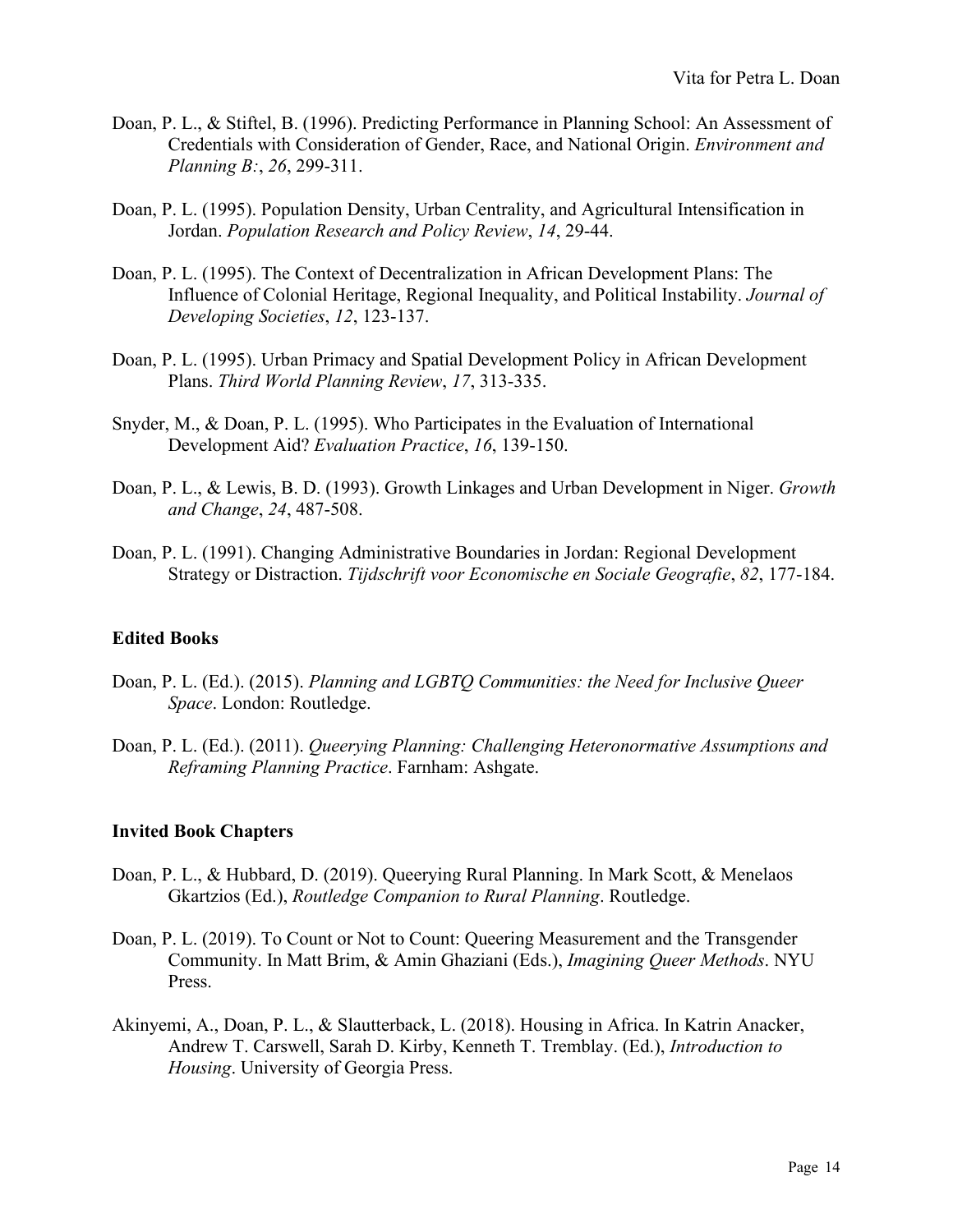- Doan, P. L., & Stiftel, B. (1996). Predicting Performance in Planning School: An Assessment of Credentials with Consideration of Gender, Race, and National Origin. *Environment and Planning B:*, *26*, 299-311.
- Doan, P. L. (1995). Population Density, Urban Centrality, and Agricultural Intensification in Jordan. *Population Research and Policy Review*, *14*, 29-44.
- Doan, P. L. (1995). The Context of Decentralization in African Development Plans: The Influence of Colonial Heritage, Regional Inequality, and Political Instability. *Journal of Developing Societies*, *12*, 123-137.
- Doan, P. L. (1995). Urban Primacy and Spatial Development Policy in African Development Plans. *Third World Planning Review*, *17*, 313-335.
- Snyder, M., & Doan, P. L. (1995). Who Participates in the Evaluation of International Development Aid? *Evaluation Practice*, *16*, 139-150.
- Doan, P. L., & Lewis, B. D. (1993). Growth Linkages and Urban Development in Niger. *Growth and Change*, *24*, 487-508.
- Doan, P. L. (1991). Changing Administrative Boundaries in Jordan: Regional Development Strategy or Distraction. *Tijdschrift voor Economische en Sociale Geografie*, *82*, 177-184.

### **Edited Books**

- Doan, P. L. (Ed.). (2015). *Planning and LGBTQ Communities: the Need for Inclusive Queer Space*. London: Routledge.
- Doan, P. L. (Ed.). (2011). *Queerying Planning: Challenging Heteronormative Assumptions and Reframing Planning Practice*. Farnham: Ashgate.

#### **Invited Book Chapters**

- Doan, P. L., & Hubbard, D. (2019). Queerying Rural Planning. In Mark Scott, & Menelaos Gkartzios (Ed.), *Routledge Companion to Rural Planning*. Routledge.
- Doan, P. L. (2019). To Count or Not to Count: Queering Measurement and the Transgender Community. In Matt Brim, & Amin Ghaziani (Eds.), *Imagining Queer Methods*. NYU Press.
- Akinyemi, A., Doan, P. L., & Slautterback, L. (2018). Housing in Africa. In Katrin Anacker, Andrew T. Carswell, Sarah D. Kirby, Kenneth T. Tremblay. (Ed.), *Introduction to Housing*. University of Georgia Press.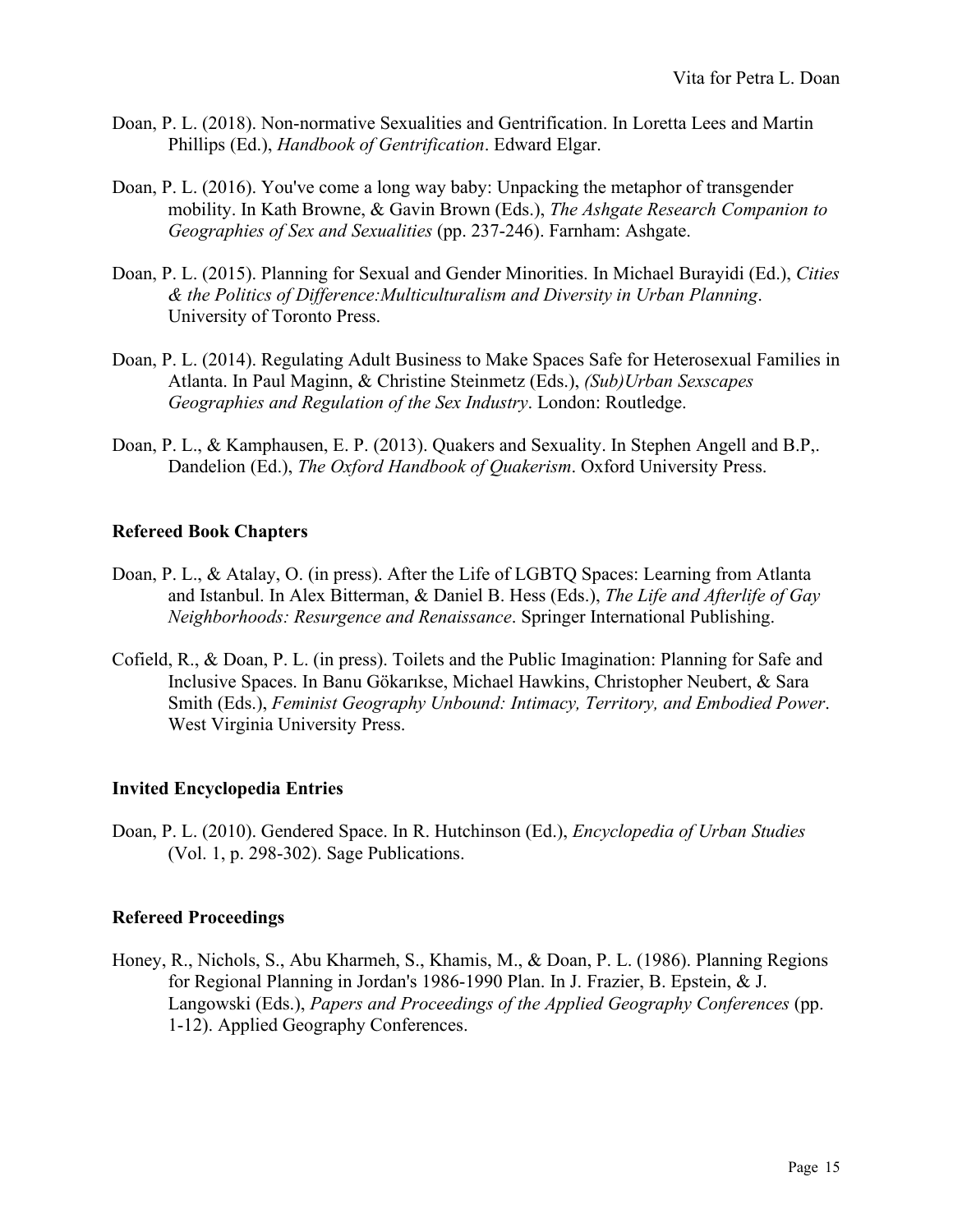- Doan, P. L. (2018). Non-normative Sexualities and Gentrification. In Loretta Lees and Martin Phillips (Ed.), *Handbook of Gentrification*. Edward Elgar.
- Doan, P. L. (2016). You've come a long way baby: Unpacking the metaphor of transgender mobility. In Kath Browne, & Gavin Brown (Eds.), *The Ashgate Research Companion to Geographies of Sex and Sexualities* (pp. 237-246). Farnham: Ashgate.
- Doan, P. L. (2015). Planning for Sexual and Gender Minorities. In Michael Burayidi (Ed.), *Cities & the Politics of Difference:Multiculturalism and Diversity in Urban Planning*. University of Toronto Press.
- Doan, P. L. (2014). Regulating Adult Business to Make Spaces Safe for Heterosexual Families in Atlanta. In Paul Maginn, & Christine Steinmetz (Eds.), *(Sub)Urban Sexscapes Geographies and Regulation of the Sex Industry*. London: Routledge.
- Doan, P. L., & Kamphausen, E. P. (2013). Quakers and Sexuality. In Stephen Angell and B.P,. Dandelion (Ed.), *The Oxford Handbook of Quakerism*. Oxford University Press.

## **Refereed Book Chapters**

- Doan, P. L., & Atalay, O. (in press). After the Life of LGBTQ Spaces: Learning from Atlanta and Istanbul. In Alex Bitterman, & Daniel B. Hess (Eds.), *The Life and Afterlife of Gay Neighborhoods: Resurgence and Renaissance*. Springer International Publishing.
- Cofield, R., & Doan, P. L. (in press). Toilets and the Public Imagination: Planning for Safe and Inclusive Spaces. In Banu Gökarıkse, Michael Hawkins, Christopher Neubert, & Sara Smith (Eds.), *Feminist Geography Unbound: Intimacy, Territory, and Embodied Power*. West Virginia University Press.

## **Invited Encyclopedia Entries**

Doan, P. L. (2010). Gendered Space. In R. Hutchinson (Ed.), *Encyclopedia of Urban Studies* (Vol. 1, p. 298-302). Sage Publications.

## **Refereed Proceedings**

Honey, R., Nichols, S., Abu Kharmeh, S., Khamis, M., & Doan, P. L. (1986). Planning Regions for Regional Planning in Jordan's 1986-1990 Plan. In J. Frazier, B. Epstein, & J. Langowski (Eds.), *Papers and Proceedings of the Applied Geography Conferences* (pp. 1-12). Applied Geography Conferences.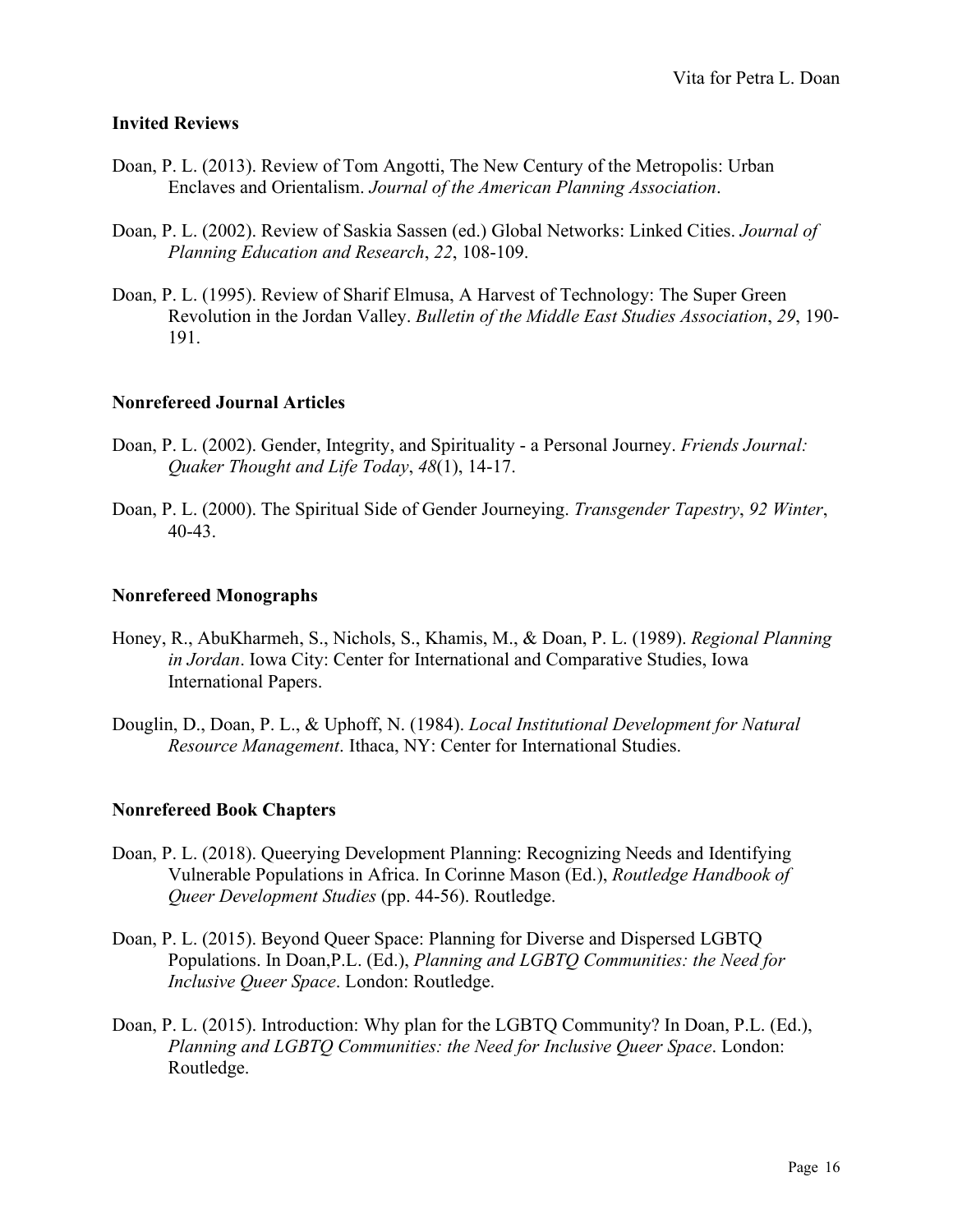### **Invited Reviews**

- Doan, P. L. (2013). Review of Tom Angotti, The New Century of the Metropolis: Urban Enclaves and Orientalism. *Journal of the American Planning Association*.
- Doan, P. L. (2002). Review of Saskia Sassen (ed.) Global Networks: Linked Cities. *Journal of Planning Education and Research*, *22*, 108-109.
- Doan, P. L. (1995). Review of Sharif Elmusa, A Harvest of Technology: The Super Green Revolution in the Jordan Valley. *Bulletin of the Middle East Studies Association*, *29*, 190- 191.

### **Nonrefereed Journal Articles**

- Doan, P. L. (2002). Gender, Integrity, and Spirituality a Personal Journey. *Friends Journal: Quaker Thought and Life Today*, *48*(1), 14-17.
- Doan, P. L. (2000). The Spiritual Side of Gender Journeying. *Transgender Tapestry*, *92 Winter*, 40-43.

### **Nonrefereed Monographs**

- Honey, R., AbuKharmeh, S., Nichols, S., Khamis, M., & Doan, P. L. (1989). *Regional Planning in Jordan*. Iowa City: Center for International and Comparative Studies, Iowa International Papers.
- Douglin, D., Doan, P. L., & Uphoff, N. (1984). *Local Institutional Development for Natural Resource Management*. Ithaca, NY: Center for International Studies.

### **Nonrefereed Book Chapters**

- Doan, P. L. (2018). Queerying Development Planning: Recognizing Needs and Identifying Vulnerable Populations in Africa. In Corinne Mason (Ed.), *Routledge Handbook of Queer Development Studies* (pp. 44-56). Routledge.
- Doan, P. L. (2015). Beyond Queer Space: Planning for Diverse and Dispersed LGBTQ Populations. In Doan,P.L. (Ed.), *Planning and LGBTQ Communities: the Need for Inclusive Queer Space*. London: Routledge.
- Doan, P. L. (2015). Introduction: Why plan for the LGBTQ Community? In Doan, P.L. (Ed.), *Planning and LGBTQ Communities: the Need for Inclusive Queer Space*. London: Routledge.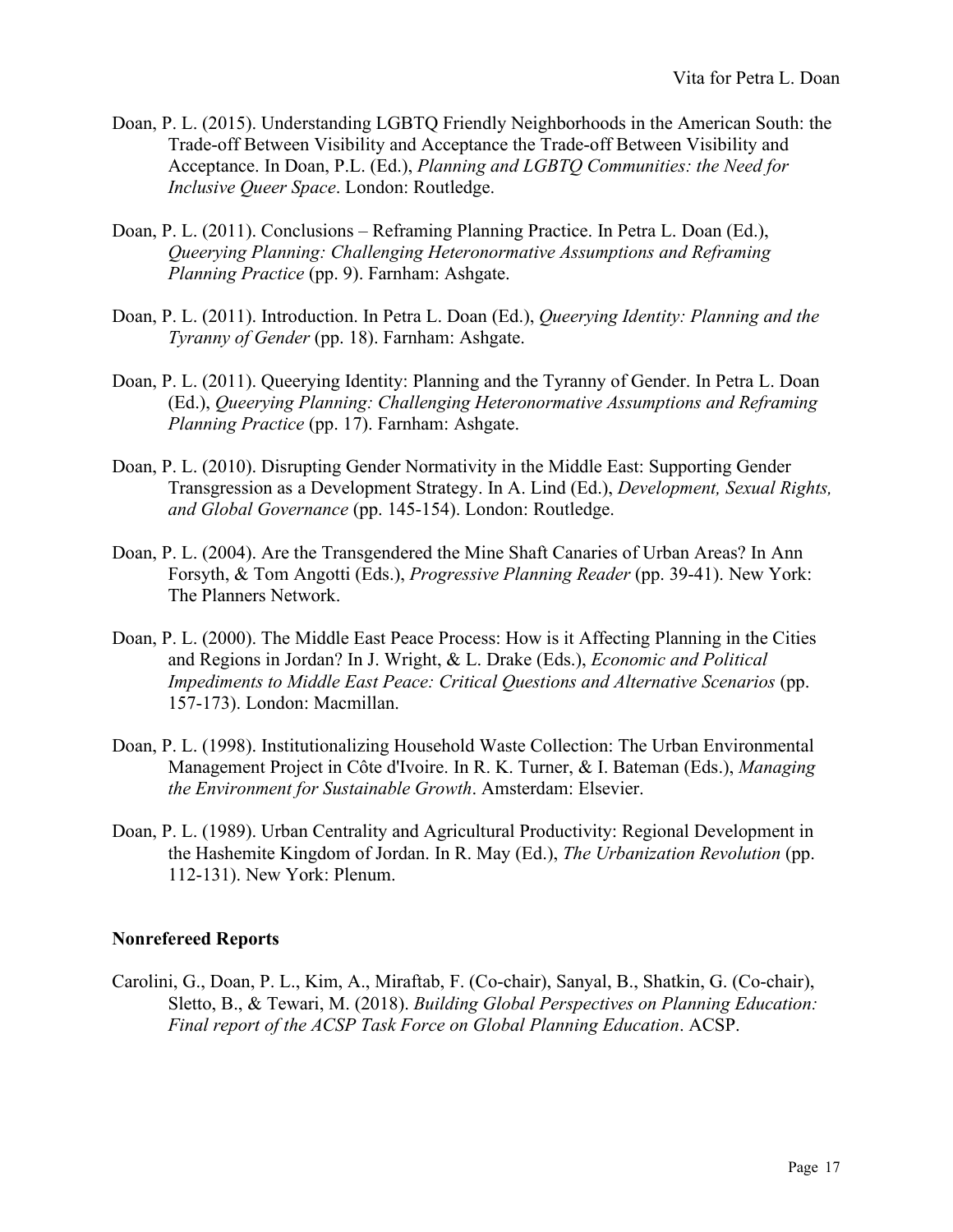- Doan, P. L. (2015). Understanding LGBTQ Friendly Neighborhoods in the American South: the Trade-off Between Visibility and Acceptance the Trade-off Between Visibility and Acceptance. In Doan, P.L. (Ed.), *Planning and LGBTQ Communities: the Need for Inclusive Queer Space*. London: Routledge.
- Doan, P. L. (2011). Conclusions Reframing Planning Practice. In Petra L. Doan (Ed.), *Queerying Planning: Challenging Heteronormative Assumptions and Reframing Planning Practice* (pp. 9). Farnham: Ashgate.
- Doan, P. L. (2011). Introduction. In Petra L. Doan (Ed.), *Queerying Identity: Planning and the Tyranny of Gender* (pp. 18). Farnham: Ashgate.
- Doan, P. L. (2011). Queerying Identity: Planning and the Tyranny of Gender. In Petra L. Doan (Ed.), *Queerying Planning: Challenging Heteronormative Assumptions and Reframing Planning Practice* (pp. 17). Farnham: Ashgate.
- Doan, P. L. (2010). Disrupting Gender Normativity in the Middle East: Supporting Gender Transgression as a Development Strategy. In A. Lind (Ed.), *Development, Sexual Rights, and Global Governance* (pp. 145-154). London: Routledge.
- Doan, P. L. (2004). Are the Transgendered the Mine Shaft Canaries of Urban Areas? In Ann Forsyth, & Tom Angotti (Eds.), *Progressive Planning Reader* (pp. 39-41). New York: The Planners Network.
- Doan, P. L. (2000). The Middle East Peace Process: How is it Affecting Planning in the Cities and Regions in Jordan? In J. Wright, & L. Drake (Eds.), *Economic and Political Impediments to Middle East Peace: Critical Questions and Alternative Scenarios* (pp. 157-173). London: Macmillan.
- Doan, P. L. (1998). Institutionalizing Household Waste Collection: The Urban Environmental Management Project in Côte d'Ivoire. In R. K. Turner, & I. Bateman (Eds.), *Managing the Environment for Sustainable Growth*. Amsterdam: Elsevier.
- Doan, P. L. (1989). Urban Centrality and Agricultural Productivity: Regional Development in the Hashemite Kingdom of Jordan. In R. May (Ed.), *The Urbanization Revolution* (pp. 112-131). New York: Plenum.

## **Nonrefereed Reports**

Carolini, G., Doan, P. L., Kim, A., Miraftab, F. (Co-chair), Sanyal, B., Shatkin, G. (Co-chair), Sletto, B., & Tewari, M. (2018). *Building Global Perspectives on Planning Education: Final report of the ACSP Task Force on Global Planning Education*. ACSP.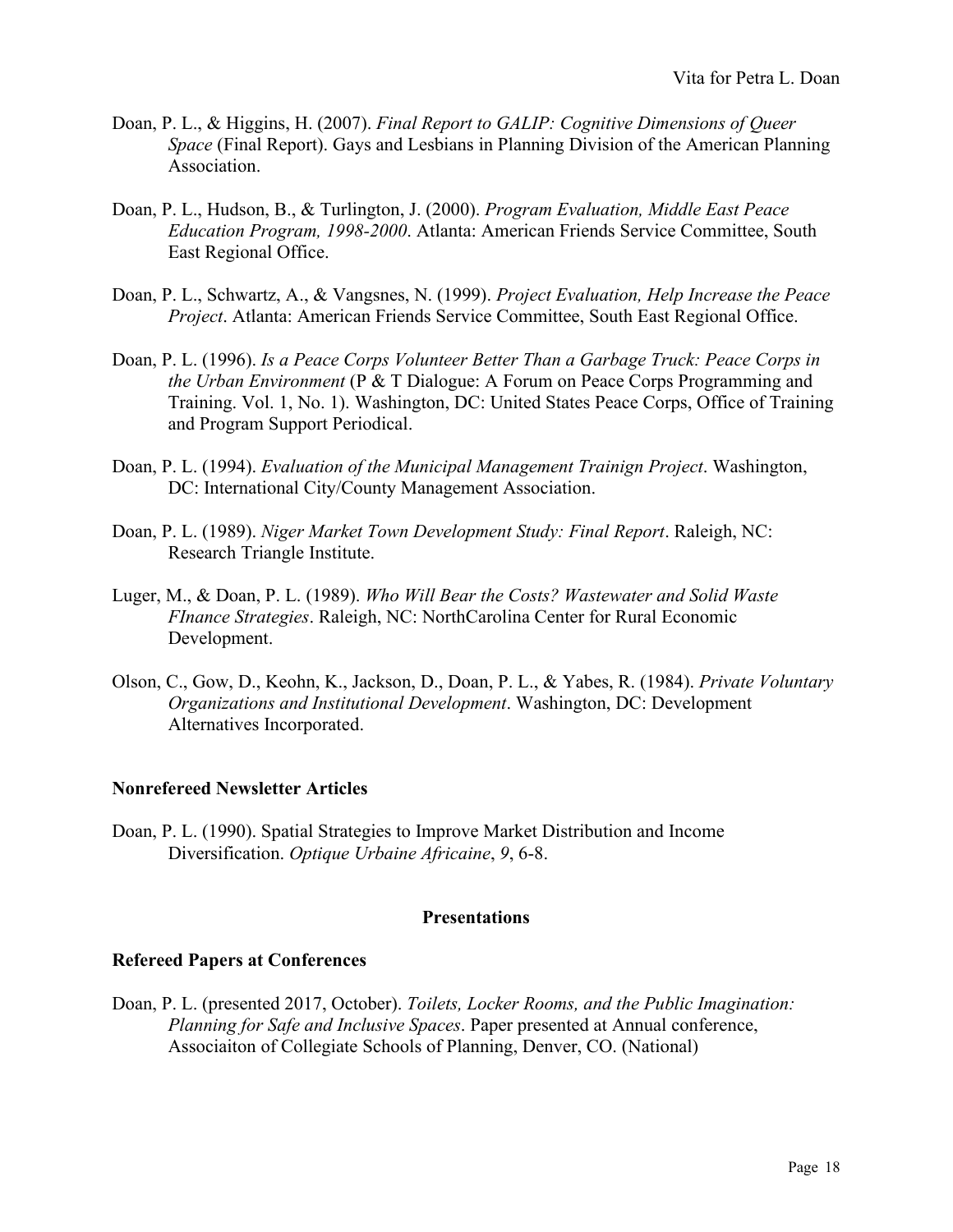- Doan, P. L., & Higgins, H. (2007). *Final Report to GALIP: Cognitive Dimensions of Queer Space* (Final Report). Gays and Lesbians in Planning Division of the American Planning Association.
- Doan, P. L., Hudson, B., & Turlington, J. (2000). *Program Evaluation, Middle East Peace Education Program, 1998-2000*. Atlanta: American Friends Service Committee, South East Regional Office.
- Doan, P. L., Schwartz, A., & Vangsnes, N. (1999). *Project Evaluation, Help Increase the Peace Project*. Atlanta: American Friends Service Committee, South East Regional Office.
- Doan, P. L. (1996). *Is a Peace Corps Volunteer Better Than a Garbage Truck: Peace Corps in the Urban Environment* (P & T Dialogue: A Forum on Peace Corps Programming and Training. Vol. 1, No. 1). Washington, DC: United States Peace Corps, Office of Training and Program Support Periodical.
- Doan, P. L. (1994). *Evaluation of the Municipal Management Trainign Project*. Washington, DC: International City/County Management Association.
- Doan, P. L. (1989). *Niger Market Town Development Study: Final Report*. Raleigh, NC: Research Triangle Institute.
- Luger, M., & Doan, P. L. (1989). *Who Will Bear the Costs? Wastewater and Solid Waste FInance Strategies*. Raleigh, NC: NorthCarolina Center for Rural Economic Development.
- Olson, C., Gow, D., Keohn, K., Jackson, D., Doan, P. L., & Yabes, R. (1984). *Private Voluntary Organizations and Institutional Development*. Washington, DC: Development Alternatives Incorporated.

### **Nonrefereed Newsletter Articles**

Doan, P. L. (1990). Spatial Strategies to Improve Market Distribution and Income Diversification. *Optique Urbaine Africaine*, *9*, 6-8.

### **Presentations**

### **Refereed Papers at Conferences**

Doan, P. L. (presented 2017, October). *Toilets, Locker Rooms, and the Public Imagination: Planning for Safe and Inclusive Spaces*. Paper presented at Annual conference, Associaiton of Collegiate Schools of Planning, Denver, CO. (National)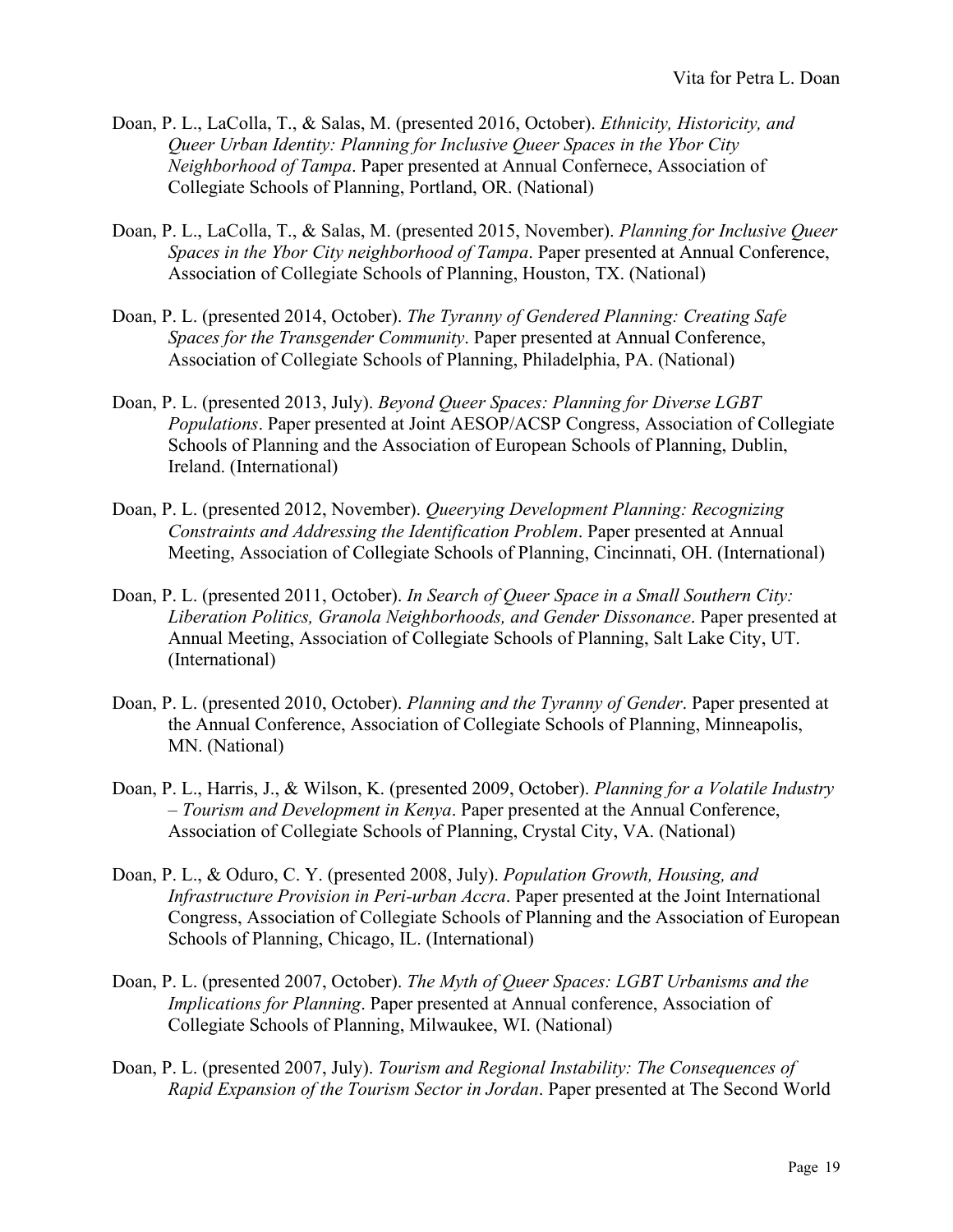- Doan, P. L., LaColla, T., & Salas, M. (presented 2016, October). *Ethnicity, Historicity, and Queer Urban Identity: Planning for Inclusive Queer Spaces in the Ybor City Neighborhood of Tampa*. Paper presented at Annual Confernece, Association of Collegiate Schools of Planning, Portland, OR. (National)
- Doan, P. L., LaColla, T., & Salas, M. (presented 2015, November). *Planning for Inclusive Queer Spaces in the Ybor City neighborhood of Tampa*. Paper presented at Annual Conference, Association of Collegiate Schools of Planning, Houston, TX. (National)
- Doan, P. L. (presented 2014, October). *The Tyranny of Gendered Planning: Creating Safe Spaces for the Transgender Community*. Paper presented at Annual Conference, Association of Collegiate Schools of Planning, Philadelphia, PA. (National)
- Doan, P. L. (presented 2013, July). *Beyond Queer Spaces: Planning for Diverse LGBT Populations*. Paper presented at Joint AESOP/ACSP Congress, Association of Collegiate Schools of Planning and the Association of European Schools of Planning, Dublin, Ireland. (International)
- Doan, P. L. (presented 2012, November). *Queerying Development Planning: Recognizing Constraints and Addressing the Identification Problem*. Paper presented at Annual Meeting, Association of Collegiate Schools of Planning, Cincinnati, OH. (International)
- Doan, P. L. (presented 2011, October). *In Search of Queer Space in a Small Southern City: Liberation Politics, Granola Neighborhoods, and Gender Dissonance*. Paper presented at Annual Meeting, Association of Collegiate Schools of Planning, Salt Lake City, UT. (International)
- Doan, P. L. (presented 2010, October). *Planning and the Tyranny of Gender*. Paper presented at the Annual Conference, Association of Collegiate Schools of Planning, Minneapolis, MN. (National)
- Doan, P. L., Harris, J., & Wilson, K. (presented 2009, October). *Planning for a Volatile Industry – Tourism and Development in Kenya*. Paper presented at the Annual Conference, Association of Collegiate Schools of Planning, Crystal City, VA. (National)
- Doan, P. L., & Oduro, C. Y. (presented 2008, July). *Population Growth, Housing, and Infrastructure Provision in Peri-urban Accra*. Paper presented at the Joint International Congress, Association of Collegiate Schools of Planning and the Association of European Schools of Planning, Chicago, IL. (International)
- Doan, P. L. (presented 2007, October). *The Myth of Queer Spaces: LGBT Urbanisms and the Implications for Planning*. Paper presented at Annual conference, Association of Collegiate Schools of Planning, Milwaukee, WI. (National)
- Doan, P. L. (presented 2007, July). *Tourism and Regional Instability: The Consequences of Rapid Expansion of the Tourism Sector in Jordan*. Paper presented at The Second World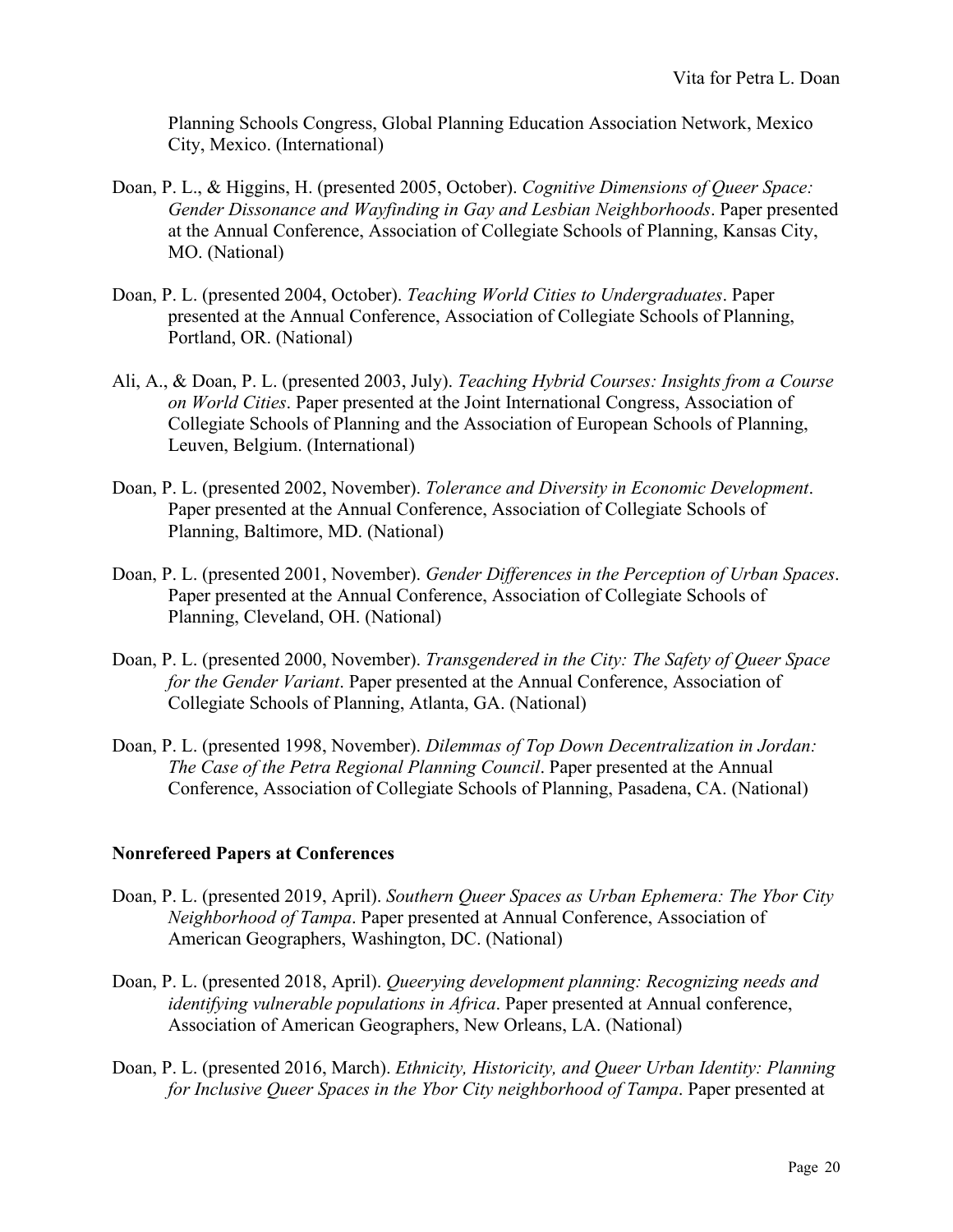Planning Schools Congress, Global Planning Education Association Network, Mexico City, Mexico. (International)

- Doan, P. L., & Higgins, H. (presented 2005, October). *Cognitive Dimensions of Queer Space: Gender Dissonance and Wayfinding in Gay and Lesbian Neighborhoods*. Paper presented at the Annual Conference, Association of Collegiate Schools of Planning, Kansas City, MO. (National)
- Doan, P. L. (presented 2004, October). *Teaching World Cities to Undergraduates*. Paper presented at the Annual Conference, Association of Collegiate Schools of Planning, Portland, OR. (National)
- Ali, A., & Doan, P. L. (presented 2003, July). *Teaching Hybrid Courses: Insights from a Course on World Cities*. Paper presented at the Joint International Congress, Association of Collegiate Schools of Planning and the Association of European Schools of Planning, Leuven, Belgium. (International)
- Doan, P. L. (presented 2002, November). *Tolerance and Diversity in Economic Development*. Paper presented at the Annual Conference, Association of Collegiate Schools of Planning, Baltimore, MD. (National)
- Doan, P. L. (presented 2001, November). *Gender Differences in the Perception of Urban Spaces*. Paper presented at the Annual Conference, Association of Collegiate Schools of Planning, Cleveland, OH. (National)
- Doan, P. L. (presented 2000, November). *Transgendered in the City: The Safety of Queer Space for the Gender Variant*. Paper presented at the Annual Conference, Association of Collegiate Schools of Planning, Atlanta, GA. (National)
- Doan, P. L. (presented 1998, November). *Dilemmas of Top Down Decentralization in Jordan: The Case of the Petra Regional Planning Council*. Paper presented at the Annual Conference, Association of Collegiate Schools of Planning, Pasadena, CA. (National)

## **Nonrefereed Papers at Conferences**

- Doan, P. L. (presented 2019, April). *Southern Queer Spaces as Urban Ephemera: The Ybor City Neighborhood of Tampa*. Paper presented at Annual Conference, Association of American Geographers, Washington, DC. (National)
- Doan, P. L. (presented 2018, April). *Queerying development planning: Recognizing needs and identifying vulnerable populations in Africa*. Paper presented at Annual conference, Association of American Geographers, New Orleans, LA. (National)
- Doan, P. L. (presented 2016, March). *Ethnicity, Historicity, and Queer Urban Identity: Planning for Inclusive Queer Spaces in the Ybor City neighborhood of Tampa*. Paper presented at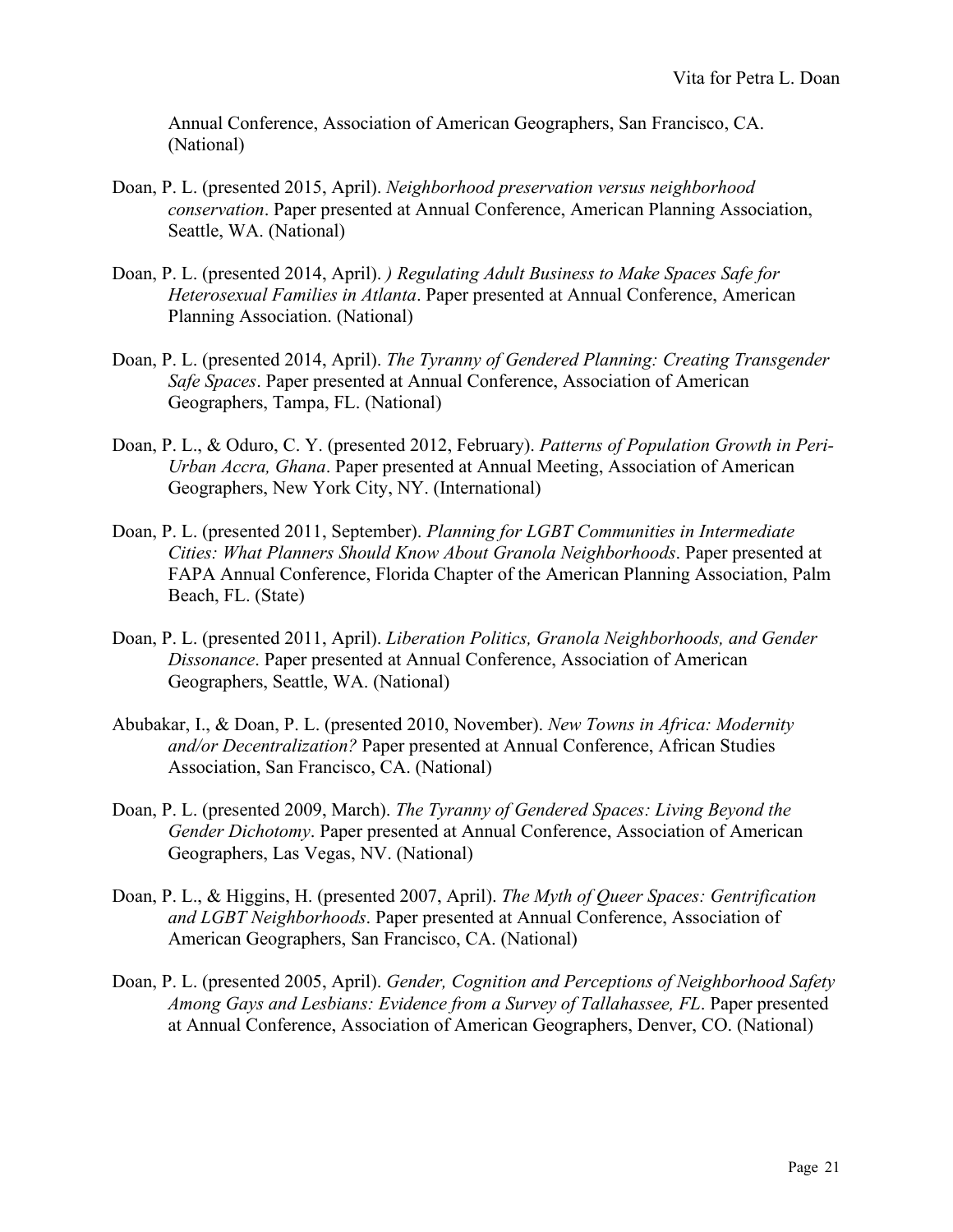Annual Conference, Association of American Geographers, San Francisco, CA. (National)

- Doan, P. L. (presented 2015, April). *Neighborhood preservation versus neighborhood conservation*. Paper presented at Annual Conference, American Planning Association, Seattle, WA. (National)
- Doan, P. L. (presented 2014, April). *) Regulating Adult Business to Make Spaces Safe for Heterosexual Families in Atlanta*. Paper presented at Annual Conference, American Planning Association. (National)
- Doan, P. L. (presented 2014, April). *The Tyranny of Gendered Planning: Creating Transgender Safe Spaces*. Paper presented at Annual Conference, Association of American Geographers, Tampa, FL. (National)
- Doan, P. L., & Oduro, C. Y. (presented 2012, February). *Patterns of Population Growth in Peri-Urban Accra, Ghana*. Paper presented at Annual Meeting, Association of American Geographers, New York City, NY. (International)
- Doan, P. L. (presented 2011, September). *Planning for LGBT Communities in Intermediate Cities: What Planners Should Know About Granola Neighborhoods*. Paper presented at FAPA Annual Conference, Florida Chapter of the American Planning Association, Palm Beach, FL. (State)
- Doan, P. L. (presented 2011, April). *Liberation Politics, Granola Neighborhoods, and Gender Dissonance*. Paper presented at Annual Conference, Association of American Geographers, Seattle, WA. (National)
- Abubakar, I., & Doan, P. L. (presented 2010, November). *New Towns in Africa: Modernity and/or Decentralization?* Paper presented at Annual Conference, African Studies Association, San Francisco, CA. (National)
- Doan, P. L. (presented 2009, March). *The Tyranny of Gendered Spaces: Living Beyond the Gender Dichotomy*. Paper presented at Annual Conference, Association of American Geographers, Las Vegas, NV. (National)
- Doan, P. L., & Higgins, H. (presented 2007, April). *The Myth of Queer Spaces: Gentrification and LGBT Neighborhoods*. Paper presented at Annual Conference, Association of American Geographers, San Francisco, CA. (National)
- Doan, P. L. (presented 2005, April). *Gender, Cognition and Perceptions of Neighborhood Safety Among Gays and Lesbians: Evidence from a Survey of Tallahassee, FL*. Paper presented at Annual Conference, Association of American Geographers, Denver, CO. (National)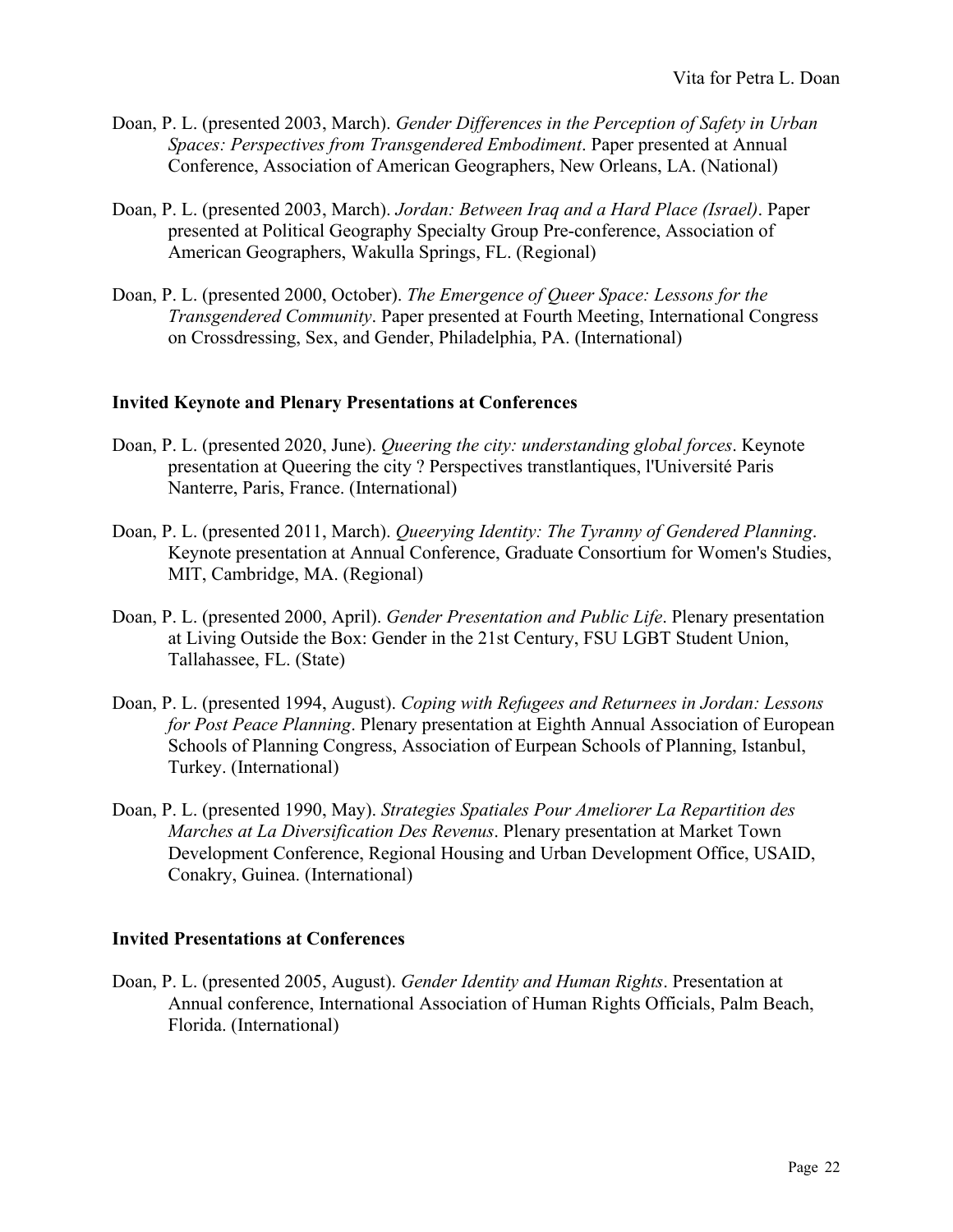- Doan, P. L. (presented 2003, March). *Gender Differences in the Perception of Safety in Urban Spaces: Perspectives from Transgendered Embodiment*. Paper presented at Annual Conference, Association of American Geographers, New Orleans, LA. (National)
- Doan, P. L. (presented 2003, March). *Jordan: Between Iraq and a Hard Place (Israel)*. Paper presented at Political Geography Specialty Group Pre-conference, Association of American Geographers, Wakulla Springs, FL. (Regional)
- Doan, P. L. (presented 2000, October). *The Emergence of Queer Space: Lessons for the Transgendered Community*. Paper presented at Fourth Meeting, International Congress on Crossdressing, Sex, and Gender, Philadelphia, PA. (International)

## **Invited Keynote and Plenary Presentations at Conferences**

- Doan, P. L. (presented 2020, June). *Queering the city: understanding global forces*. Keynote presentation at Queering the city ? Perspectives transtlantiques, l'Université Paris Nanterre, Paris, France. (International)
- Doan, P. L. (presented 2011, March). *Queerying Identity: The Tyranny of Gendered Planning*. Keynote presentation at Annual Conference, Graduate Consortium for Women's Studies, MIT, Cambridge, MA. (Regional)
- Doan, P. L. (presented 2000, April). *Gender Presentation and Public Life*. Plenary presentation at Living Outside the Box: Gender in the 21st Century, FSU LGBT Student Union, Tallahassee, FL. (State)
- Doan, P. L. (presented 1994, August). *Coping with Refugees and Returnees in Jordan: Lessons for Post Peace Planning*. Plenary presentation at Eighth Annual Association of European Schools of Planning Congress, Association of Eurpean Schools of Planning, Istanbul, Turkey. (International)
- Doan, P. L. (presented 1990, May). *Strategies Spatiales Pour Ameliorer La Repartition des Marches at La Diversification Des Revenus*. Plenary presentation at Market Town Development Conference, Regional Housing and Urban Development Office, USAID, Conakry, Guinea. (International)

### **Invited Presentations at Conferences**

Doan, P. L. (presented 2005, August). *Gender Identity and Human Rights*. Presentation at Annual conference, International Association of Human Rights Officials, Palm Beach, Florida. (International)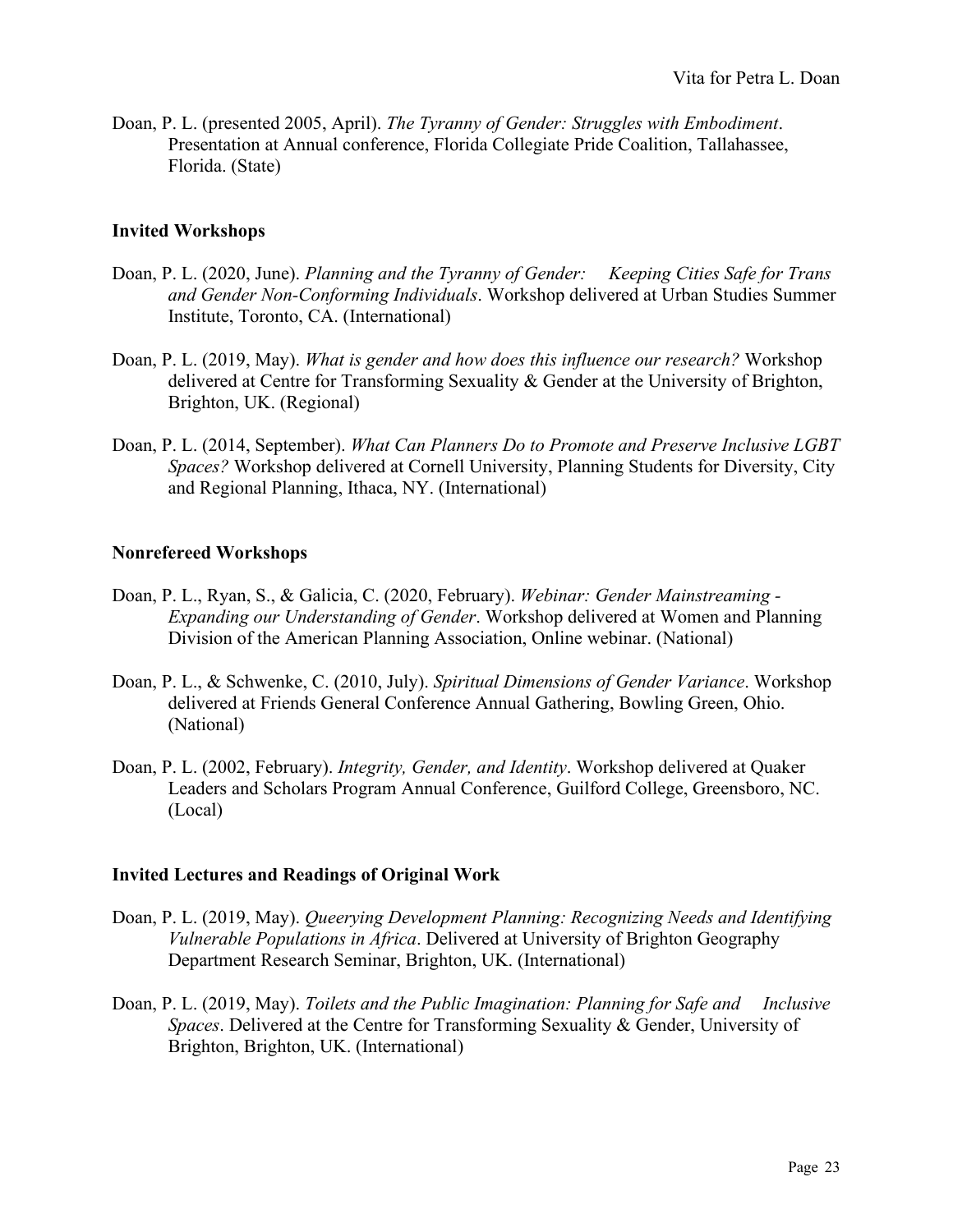Doan, P. L. (presented 2005, April). *The Tyranny of Gender: Struggles with Embodiment*. Presentation at Annual conference, Florida Collegiate Pride Coalition, Tallahassee, Florida. (State)

### **Invited Workshops**

- Doan, P. L. (2020, June). *Planning and the Tyranny of Gender: Keeping Cities Safe for Trans and Gender Non-Conforming Individuals*. Workshop delivered at Urban Studies Summer Institute, Toronto, CA. (International)
- Doan, P. L. (2019, May). *What is gender and how does this influence our research?* Workshop delivered at Centre for Transforming Sexuality & Gender at the University of Brighton, Brighton, UK. (Regional)
- Doan, P. L. (2014, September). *What Can Planners Do to Promote and Preserve Inclusive LGBT Spaces?* Workshop delivered at Cornell University, Planning Students for Diversity, City and Regional Planning, Ithaca, NY. (International)

### **Nonrefereed Workshops**

- Doan, P. L., Ryan, S., & Galicia, C. (2020, February). *Webinar: Gender Mainstreaming - Expanding our Understanding of Gender*. Workshop delivered at Women and Planning Division of the American Planning Association, Online webinar. (National)
- Doan, P. L., & Schwenke, C. (2010, July). *Spiritual Dimensions of Gender Variance*. Workshop delivered at Friends General Conference Annual Gathering, Bowling Green, Ohio. (National)
- Doan, P. L. (2002, February). *Integrity, Gender, and Identity*. Workshop delivered at Quaker Leaders and Scholars Program Annual Conference, Guilford College, Greensboro, NC. (Local)

### **Invited Lectures and Readings of Original Work**

- Doan, P. L. (2019, May). *Queerying Development Planning: Recognizing Needs and Identifying Vulnerable Populations in Africa*. Delivered at University of Brighton Geography Department Research Seminar, Brighton, UK. (International)
- Doan, P. L. (2019, May). *Toilets and the Public Imagination: Planning for Safe and Inclusive Spaces*. Delivered at the Centre for Transforming Sexuality & Gender, University of Brighton, Brighton, UK. (International)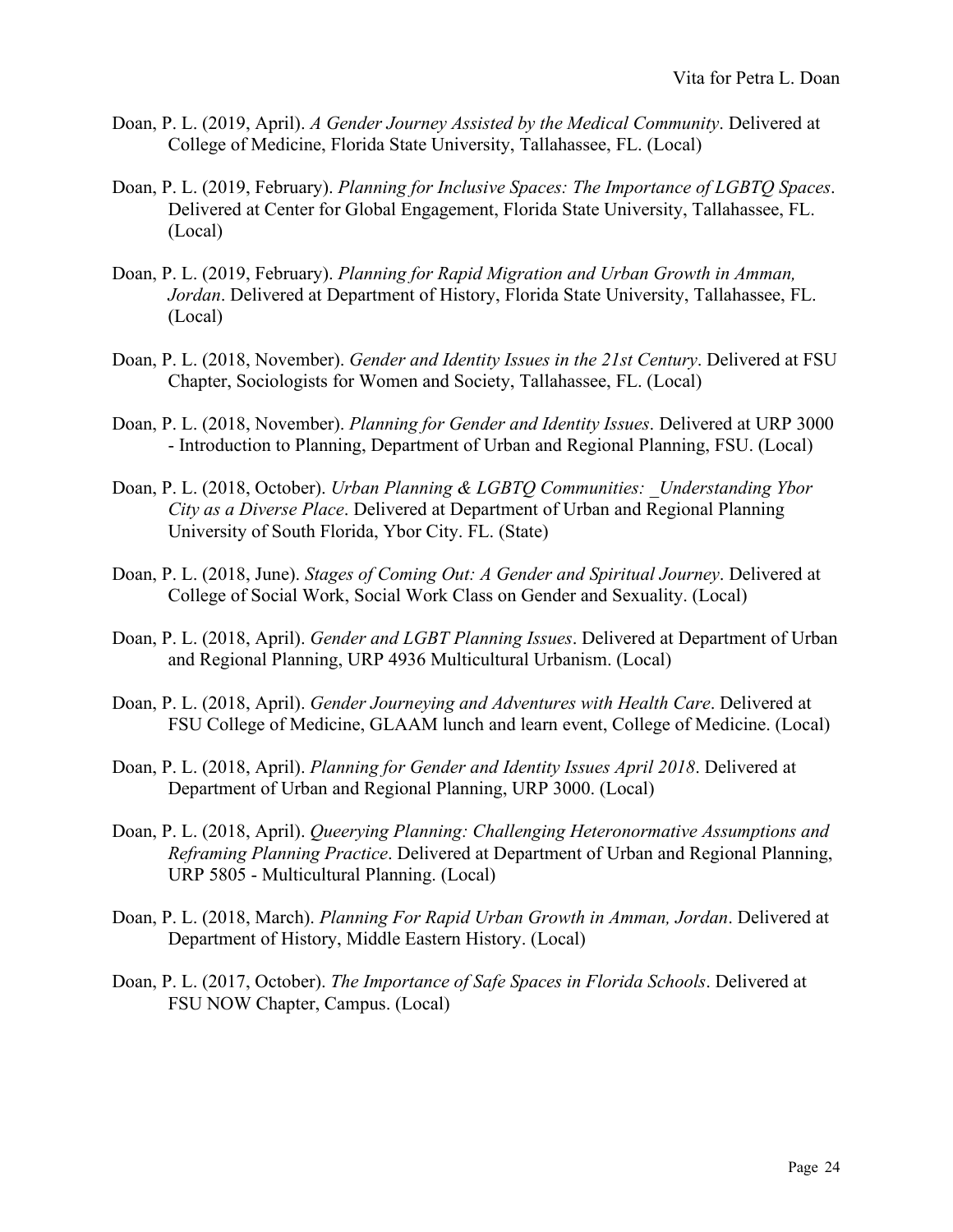- Doan, P. L. (2019, April). *A Gender Journey Assisted by the Medical Community*. Delivered at College of Medicine, Florida State University, Tallahassee, FL. (Local)
- Doan, P. L. (2019, February). *Planning for Inclusive Spaces: The Importance of LGBTQ Spaces*. Delivered at Center for Global Engagement, Florida State University, Tallahassee, FL. (Local)
- Doan, P. L. (2019, February). *Planning for Rapid Migration and Urban Growth in Amman, Jordan*. Delivered at Department of History, Florida State University, Tallahassee, FL. (Local)
- Doan, P. L. (2018, November). *Gender and Identity Issues in the 21st Century*. Delivered at FSU Chapter, Sociologists for Women and Society, Tallahassee, FL. (Local)
- Doan, P. L. (2018, November). *Planning for Gender and Identity Issues*. Delivered at URP 3000 - Introduction to Planning, Department of Urban and Regional Planning, FSU. (Local)
- Doan, P. L. (2018, October). *Urban Planning & LGBTQ Communities: \_Understanding Ybor City as a Diverse Place*. Delivered at Department of Urban and Regional Planning University of South Florida, Ybor City. FL. (State)
- Doan, P. L. (2018, June). *Stages of Coming Out: A Gender and Spiritual Journey*. Delivered at College of Social Work, Social Work Class on Gender and Sexuality. (Local)
- Doan, P. L. (2018, April). *Gender and LGBT Planning Issues*. Delivered at Department of Urban and Regional Planning, URP 4936 Multicultural Urbanism. (Local)
- Doan, P. L. (2018, April). *Gender Journeying and Adventures with Health Care*. Delivered at FSU College of Medicine, GLAAM lunch and learn event, College of Medicine. (Local)
- Doan, P. L. (2018, April). *Planning for Gender and Identity Issues April 2018*. Delivered at Department of Urban and Regional Planning, URP 3000. (Local)
- Doan, P. L. (2018, April). *Queerying Planning: Challenging Heteronormative Assumptions and Reframing Planning Practice*. Delivered at Department of Urban and Regional Planning, URP 5805 - Multicultural Planning. (Local)
- Doan, P. L. (2018, March). *Planning For Rapid Urban Growth in Amman, Jordan*. Delivered at Department of History, Middle Eastern History. (Local)
- Doan, P. L. (2017, October). *The Importance of Safe Spaces in Florida Schools*. Delivered at FSU NOW Chapter, Campus. (Local)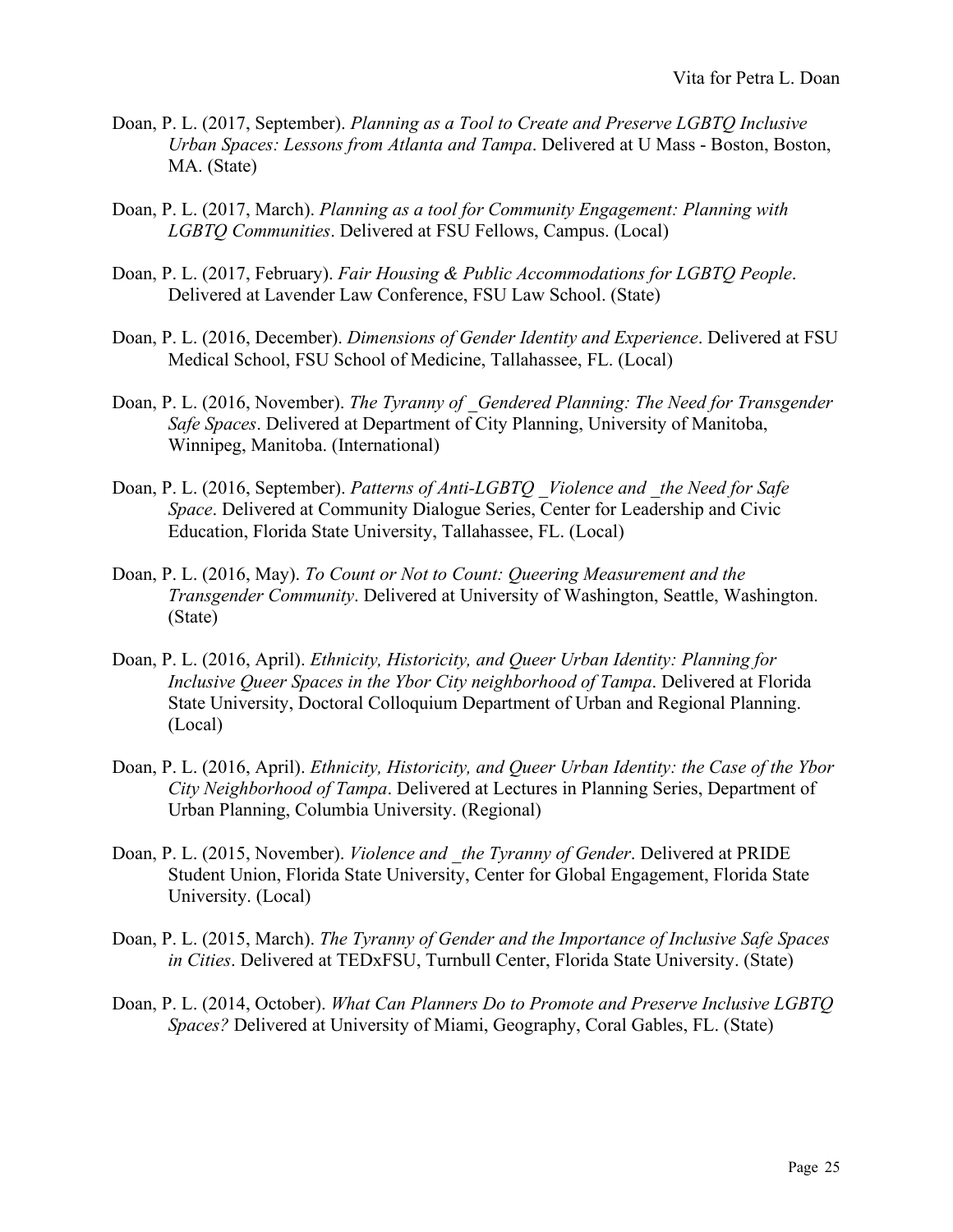- Doan, P. L. (2017, September). *Planning as a Tool to Create and Preserve LGBTQ Inclusive Urban Spaces: Lessons from Atlanta and Tampa*. Delivered at U Mass - Boston, Boston, MA. (State)
- Doan, P. L. (2017, March). *Planning as a tool for Community Engagement: Planning with LGBTQ Communities*. Delivered at FSU Fellows, Campus. (Local)
- Doan, P. L. (2017, February). *Fair Housing & Public Accommodations for LGBTQ People*. Delivered at Lavender Law Conference, FSU Law School. (State)
- Doan, P. L. (2016, December). *Dimensions of Gender Identity and Experience*. Delivered at FSU Medical School, FSU School of Medicine, Tallahassee, FL. (Local)
- Doan, P. L. (2016, November). *The Tyranny of Gendered Planning: The Need for Transgender Safe Spaces*. Delivered at Department of City Planning, University of Manitoba, Winnipeg, Manitoba. (International)
- Doan, P. L. (2016, September). *Patterns of Anti-LGBTQ \_Violence and \_the Need for Safe Space*. Delivered at Community Dialogue Series, Center for Leadership and Civic Education, Florida State University, Tallahassee, FL. (Local)
- Doan, P. L. (2016, May). *To Count or Not to Count: Queering Measurement and the Transgender Community*. Delivered at University of Washington, Seattle, Washington. (State)
- Doan, P. L. (2016, April). *Ethnicity, Historicity, and Queer Urban Identity: Planning for Inclusive Queer Spaces in the Ybor City neighborhood of Tampa*. Delivered at Florida State University, Doctoral Colloquium Department of Urban and Regional Planning. (Local)
- Doan, P. L. (2016, April). *Ethnicity, Historicity, and Queer Urban Identity: the Case of the Ybor City Neighborhood of Tampa*. Delivered at Lectures in Planning Series, Department of Urban Planning, Columbia University. (Regional)
- Doan, P. L. (2015, November). *Violence and \_the Tyranny of Gender*. Delivered at PRIDE Student Union, Florida State University, Center for Global Engagement, Florida State University. (Local)
- Doan, P. L. (2015, March). *The Tyranny of Gender and the Importance of Inclusive Safe Spaces in Cities*. Delivered at TEDxFSU, Turnbull Center, Florida State University. (State)
- Doan, P. L. (2014, October). *What Can Planners Do to Promote and Preserve Inclusive LGBTQ Spaces?* Delivered at University of Miami, Geography, Coral Gables, FL. (State)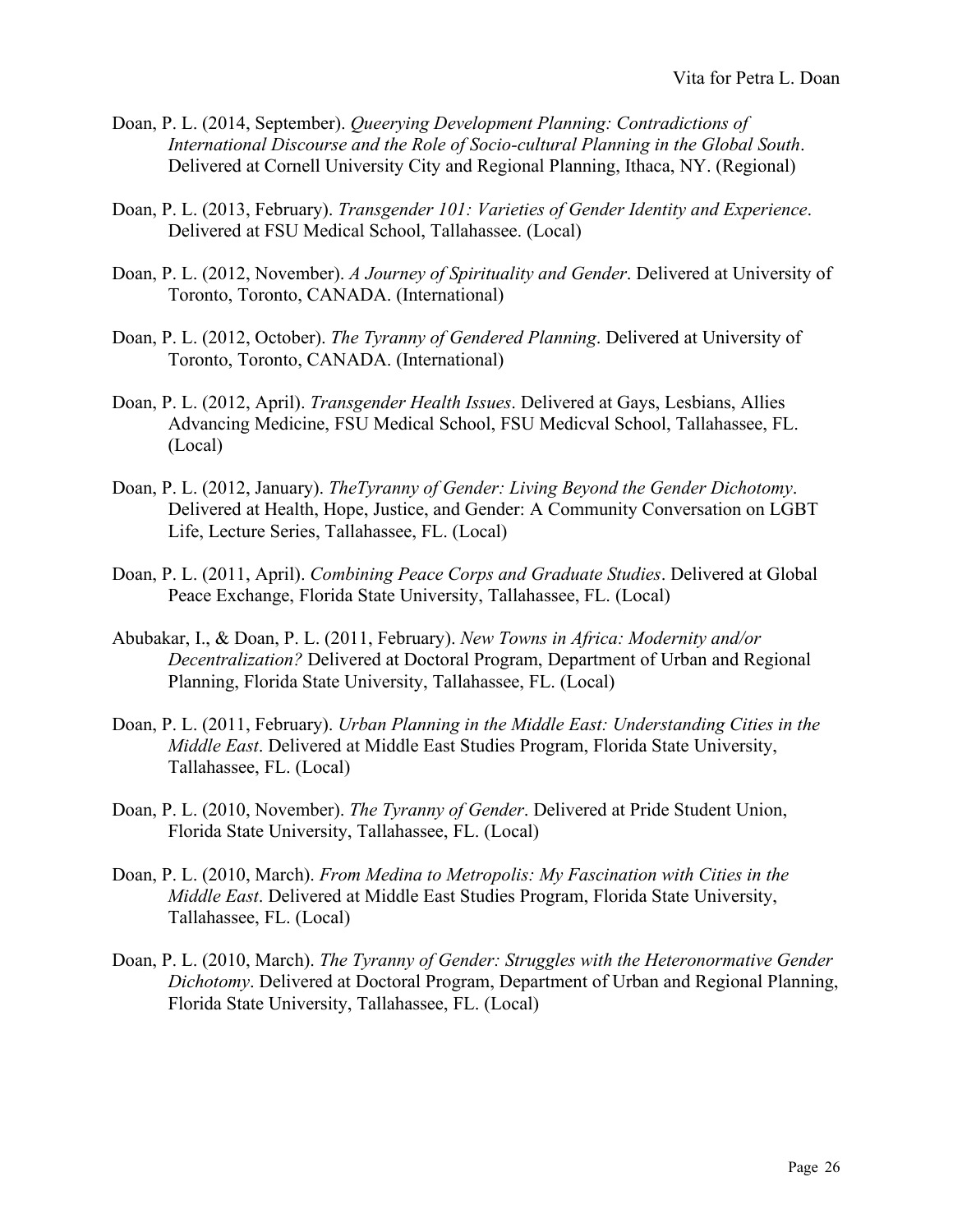- Doan, P. L. (2014, September). *Queerying Development Planning: Contradictions of International Discourse and the Role of Socio-cultural Planning in the Global South*. Delivered at Cornell University City and Regional Planning, Ithaca, NY. (Regional)
- Doan, P. L. (2013, February). *Transgender 101: Varieties of Gender Identity and Experience*. Delivered at FSU Medical School, Tallahassee. (Local)
- Doan, P. L. (2012, November). *A Journey of Spirituality and Gender*. Delivered at University of Toronto, Toronto, CANADA. (International)
- Doan, P. L. (2012, October). *The Tyranny of Gendered Planning*. Delivered at University of Toronto, Toronto, CANADA. (International)
- Doan, P. L. (2012, April). *Transgender Health Issues*. Delivered at Gays, Lesbians, Allies Advancing Medicine, FSU Medical School, FSU Medicval School, Tallahassee, FL. (Local)
- Doan, P. L. (2012, January). *TheTyranny of Gender: Living Beyond the Gender Dichotomy*. Delivered at Health, Hope, Justice, and Gender: A Community Conversation on LGBT Life, Lecture Series, Tallahassee, FL. (Local)
- Doan, P. L. (2011, April). *Combining Peace Corps and Graduate Studies*. Delivered at Global Peace Exchange, Florida State University, Tallahassee, FL. (Local)
- Abubakar, I., & Doan, P. L. (2011, February). *New Towns in Africa: Modernity and/or Decentralization?* Delivered at Doctoral Program, Department of Urban and Regional Planning, Florida State University, Tallahassee, FL. (Local)
- Doan, P. L. (2011, February). *Urban Planning in the Middle East: Understanding Cities in the Middle East*. Delivered at Middle East Studies Program, Florida State University, Tallahassee, FL. (Local)
- Doan, P. L. (2010, November). *The Tyranny of Gender*. Delivered at Pride Student Union, Florida State University, Tallahassee, FL. (Local)
- Doan, P. L. (2010, March). *From Medina to Metropolis: My Fascination with Cities in the Middle East*. Delivered at Middle East Studies Program, Florida State University, Tallahassee, FL. (Local)
- Doan, P. L. (2010, March). *The Tyranny of Gender: Struggles with the Heteronormative Gender Dichotomy*. Delivered at Doctoral Program, Department of Urban and Regional Planning, Florida State University, Tallahassee, FL. (Local)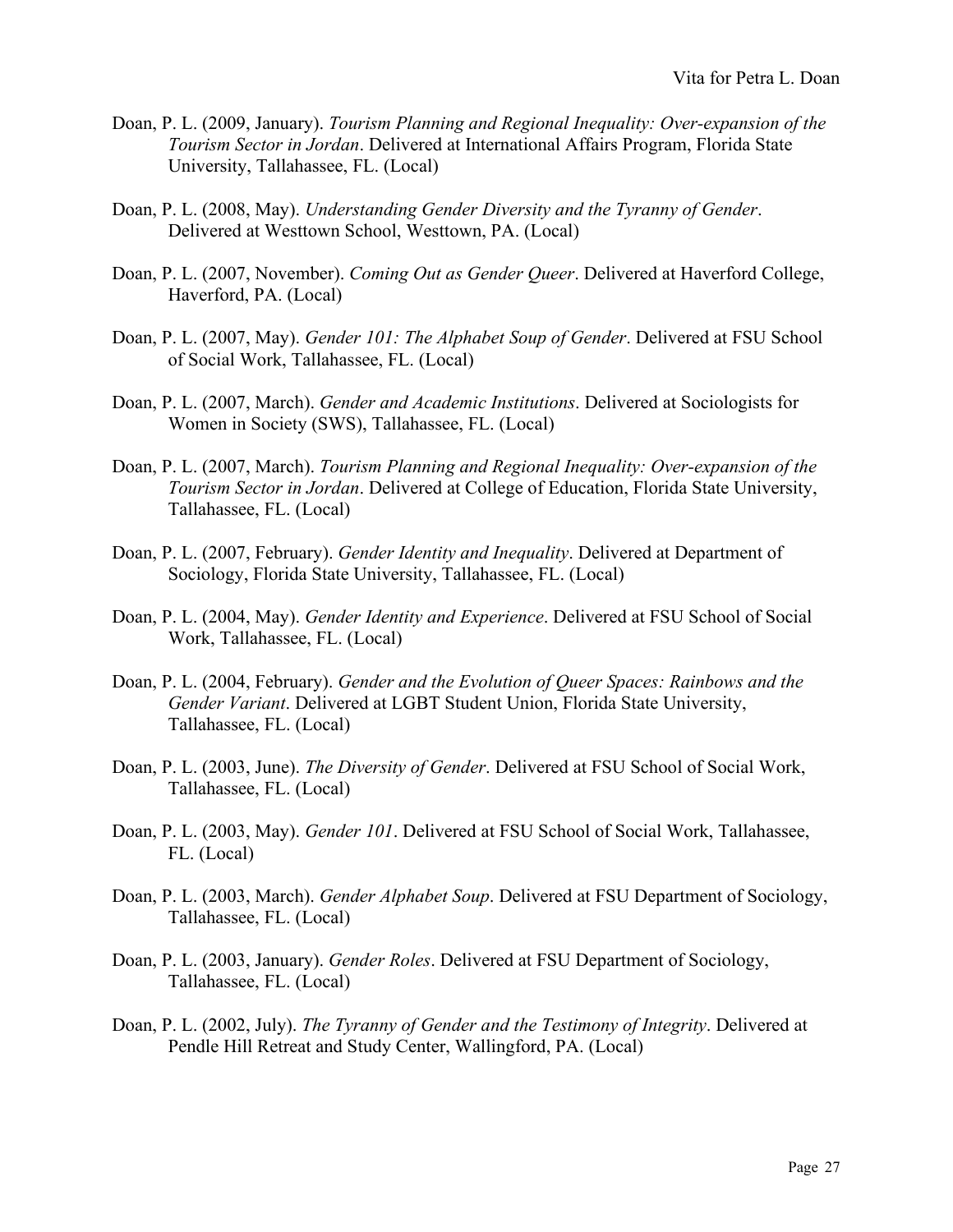- Doan, P. L. (2009, January). *Tourism Planning and Regional Inequality: Over-expansion of the Tourism Sector in Jordan*. Delivered at International Affairs Program, Florida State University, Tallahassee, FL. (Local)
- Doan, P. L. (2008, May). *Understanding Gender Diversity and the Tyranny of Gender*. Delivered at Westtown School, Westtown, PA. (Local)
- Doan, P. L. (2007, November). *Coming Out as Gender Queer*. Delivered at Haverford College, Haverford, PA. (Local)
- Doan, P. L. (2007, May). *Gender 101: The Alphabet Soup of Gender*. Delivered at FSU School of Social Work, Tallahassee, FL. (Local)
- Doan, P. L. (2007, March). *Gender and Academic Institutions*. Delivered at Sociologists for Women in Society (SWS), Tallahassee, FL. (Local)
- Doan, P. L. (2007, March). *Tourism Planning and Regional Inequality: Over-expansion of the Tourism Sector in Jordan*. Delivered at College of Education, Florida State University, Tallahassee, FL. (Local)
- Doan, P. L. (2007, February). *Gender Identity and Inequality*. Delivered at Department of Sociology, Florida State University, Tallahassee, FL. (Local)
- Doan, P. L. (2004, May). *Gender Identity and Experience*. Delivered at FSU School of Social Work, Tallahassee, FL. (Local)
- Doan, P. L. (2004, February). *Gender and the Evolution of Queer Spaces: Rainbows and the Gender Variant*. Delivered at LGBT Student Union, Florida State University, Tallahassee, FL. (Local)
- Doan, P. L. (2003, June). *The Diversity of Gender*. Delivered at FSU School of Social Work, Tallahassee, FL. (Local)
- Doan, P. L. (2003, May). *Gender 101*. Delivered at FSU School of Social Work, Tallahassee, FL. (Local)
- Doan, P. L. (2003, March). *Gender Alphabet Soup*. Delivered at FSU Department of Sociology, Tallahassee, FL. (Local)
- Doan, P. L. (2003, January). *Gender Roles*. Delivered at FSU Department of Sociology, Tallahassee, FL. (Local)
- Doan, P. L. (2002, July). *The Tyranny of Gender and the Testimony of Integrity*. Delivered at Pendle Hill Retreat and Study Center, Wallingford, PA. (Local)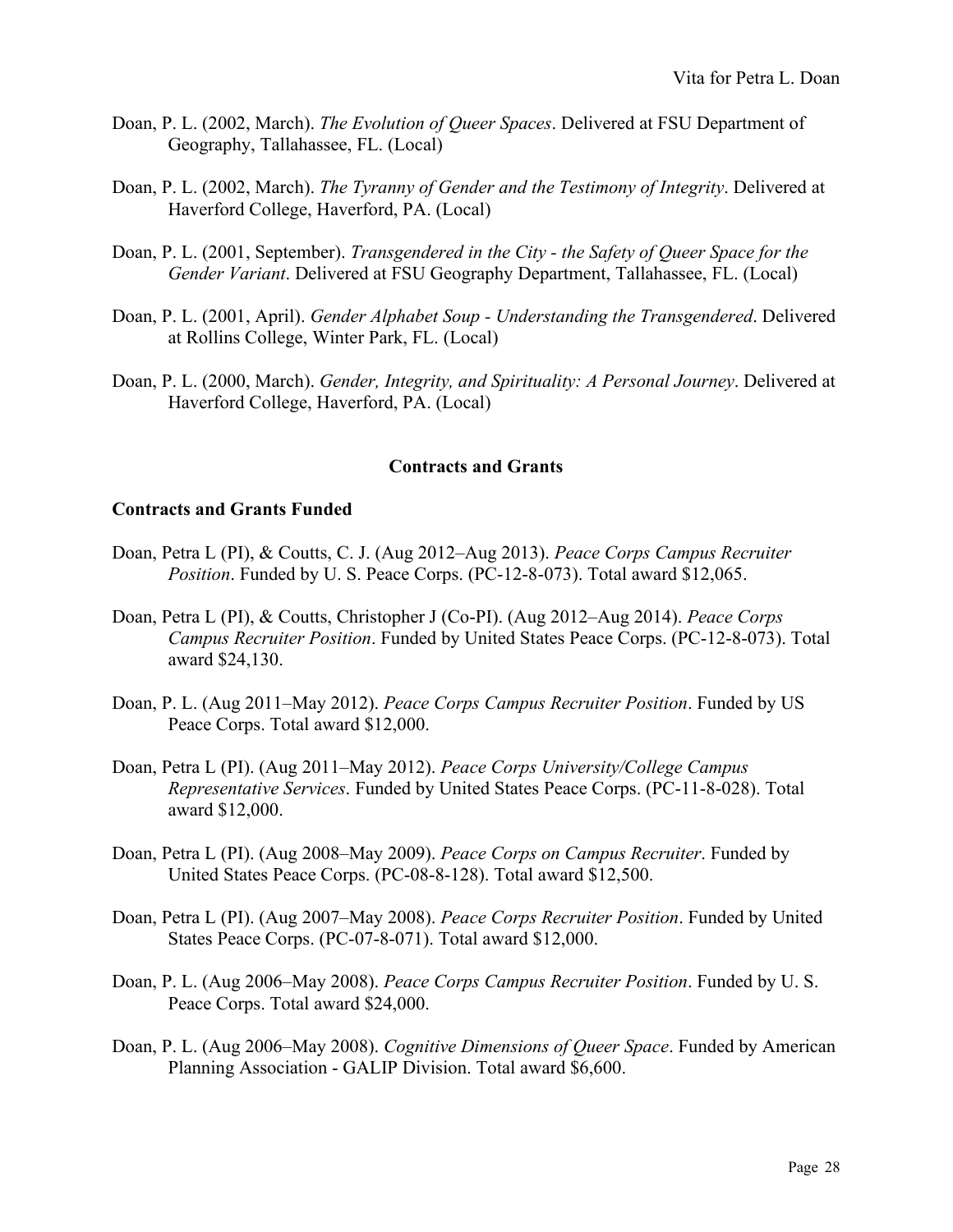- Doan, P. L. (2002, March). *The Evolution of Queer Spaces*. Delivered at FSU Department of Geography, Tallahassee, FL. (Local)
- Doan, P. L. (2002, March). *The Tyranny of Gender and the Testimony of Integrity*. Delivered at Haverford College, Haverford, PA. (Local)
- Doan, P. L. (2001, September). *Transgendered in the City - the Safety of Queer Space for the Gender Variant*. Delivered at FSU Geography Department, Tallahassee, FL. (Local)
- Doan, P. L. (2001, April). *Gender Alphabet Soup - Understanding the Transgendered*. Delivered at Rollins College, Winter Park, FL. (Local)
- Doan, P. L. (2000, March). *Gender, Integrity, and Spirituality: A Personal Journey*. Delivered at Haverford College, Haverford, PA. (Local)

### **Contracts and Grants**

### **Contracts and Grants Funded**

- Doan, Petra L (PI), & Coutts, C. J. (Aug 2012–Aug 2013). *Peace Corps Campus Recruiter Position*. Funded by U. S. Peace Corps. (PC-12-8-073). Total award \$12,065.
- Doan, Petra L (PI), & Coutts, Christopher J (Co-PI). (Aug 2012–Aug 2014). *Peace Corps Campus Recruiter Position*. Funded by United States Peace Corps. (PC-12-8-073). Total award \$24,130.
- Doan, P. L. (Aug 2011–May 2012). *Peace Corps Campus Recruiter Position*. Funded by US Peace Corps. Total award \$12,000.
- Doan, Petra L (PI). (Aug 2011–May 2012). *Peace Corps University/College Campus Representative Services*. Funded by United States Peace Corps. (PC-11-8-028). Total award \$12,000.
- Doan, Petra L (PI). (Aug 2008–May 2009). *Peace Corps on Campus Recruiter*. Funded by United States Peace Corps. (PC-08-8-128). Total award \$12,500.
- Doan, Petra L (PI). (Aug 2007–May 2008). *Peace Corps Recruiter Position*. Funded by United States Peace Corps. (PC-07-8-071). Total award \$12,000.
- Doan, P. L. (Aug 2006–May 2008). *Peace Corps Campus Recruiter Position*. Funded by U. S. Peace Corps. Total award \$24,000.
- Doan, P. L. (Aug 2006–May 2008). *Cognitive Dimensions of Queer Space*. Funded by American Planning Association - GALIP Division. Total award \$6,600.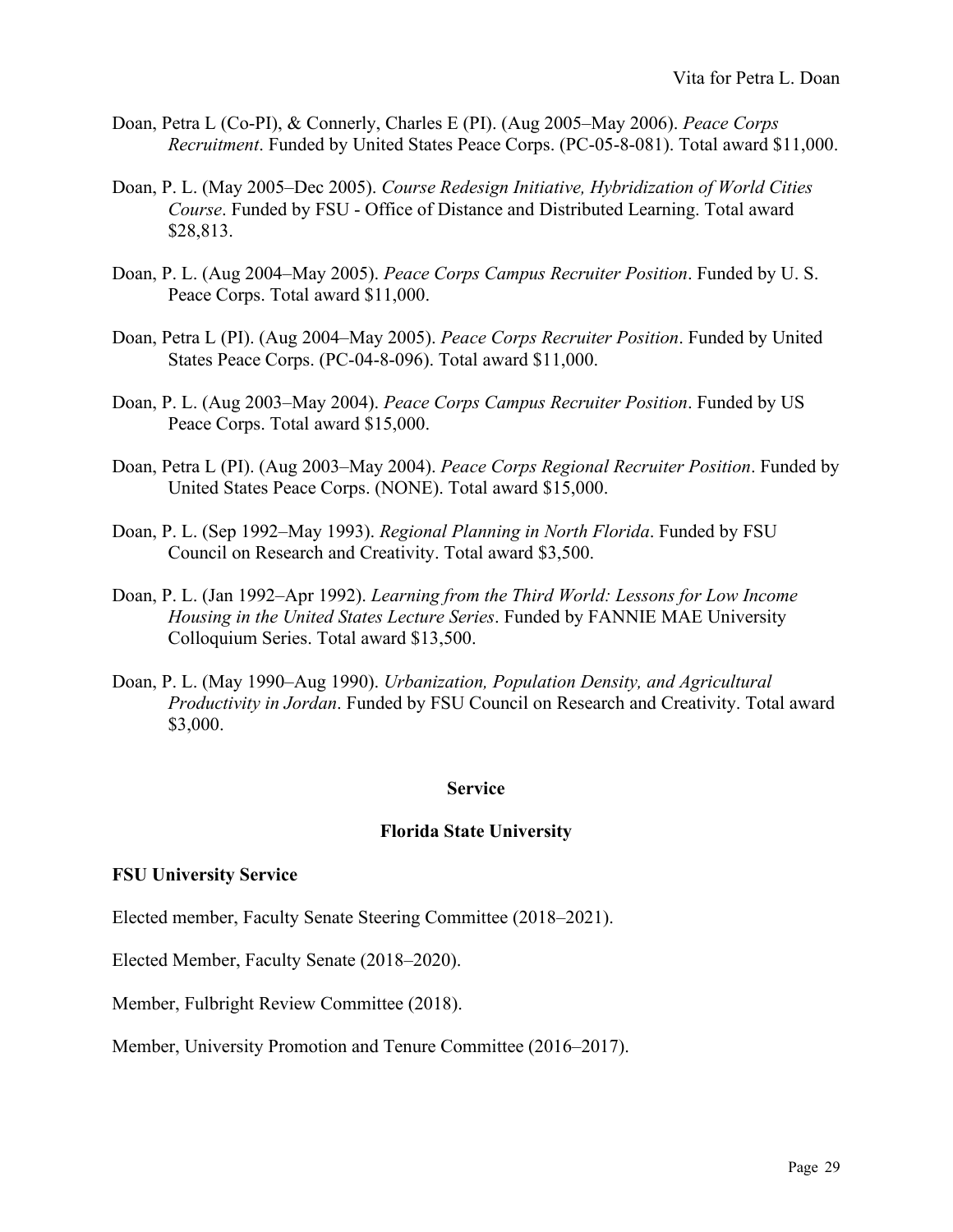- Doan, Petra L (Co-PI), & Connerly, Charles E (PI). (Aug 2005–May 2006). *Peace Corps Recruitment*. Funded by United States Peace Corps. (PC-05-8-081). Total award \$11,000.
- Doan, P. L. (May 2005–Dec 2005). *Course Redesign Initiative, Hybridization of World Cities Course*. Funded by FSU - Office of Distance and Distributed Learning. Total award \$28,813.
- Doan, P. L. (Aug 2004–May 2005). *Peace Corps Campus Recruiter Position*. Funded by U. S. Peace Corps. Total award \$11,000.
- Doan, Petra L (PI). (Aug 2004–May 2005). *Peace Corps Recruiter Position*. Funded by United States Peace Corps. (PC-04-8-096). Total award \$11,000.
- Doan, P. L. (Aug 2003–May 2004). *Peace Corps Campus Recruiter Position*. Funded by US Peace Corps. Total award \$15,000.
- Doan, Petra L (PI). (Aug 2003–May 2004). *Peace Corps Regional Recruiter Position*. Funded by United States Peace Corps. (NONE). Total award \$15,000.
- Doan, P. L. (Sep 1992–May 1993). *Regional Planning in North Florida*. Funded by FSU Council on Research and Creativity. Total award \$3,500.
- Doan, P. L. (Jan 1992–Apr 1992). *Learning from the Third World: Lessons for Low Income Housing in the United States Lecture Series*. Funded by FANNIE MAE University Colloquium Series. Total award \$13,500.
- Doan, P. L. (May 1990–Aug 1990). *Urbanization, Population Density, and Agricultural Productivity in Jordan*. Funded by FSU Council on Research and Creativity. Total award \$3,000.

### **Service**

### **Florida State University**

#### **FSU University Service**

Elected member, Faculty Senate Steering Committee (2018–2021).

Elected Member, Faculty Senate (2018–2020).

Member, Fulbright Review Committee (2018).

Member, University Promotion and Tenure Committee (2016–2017).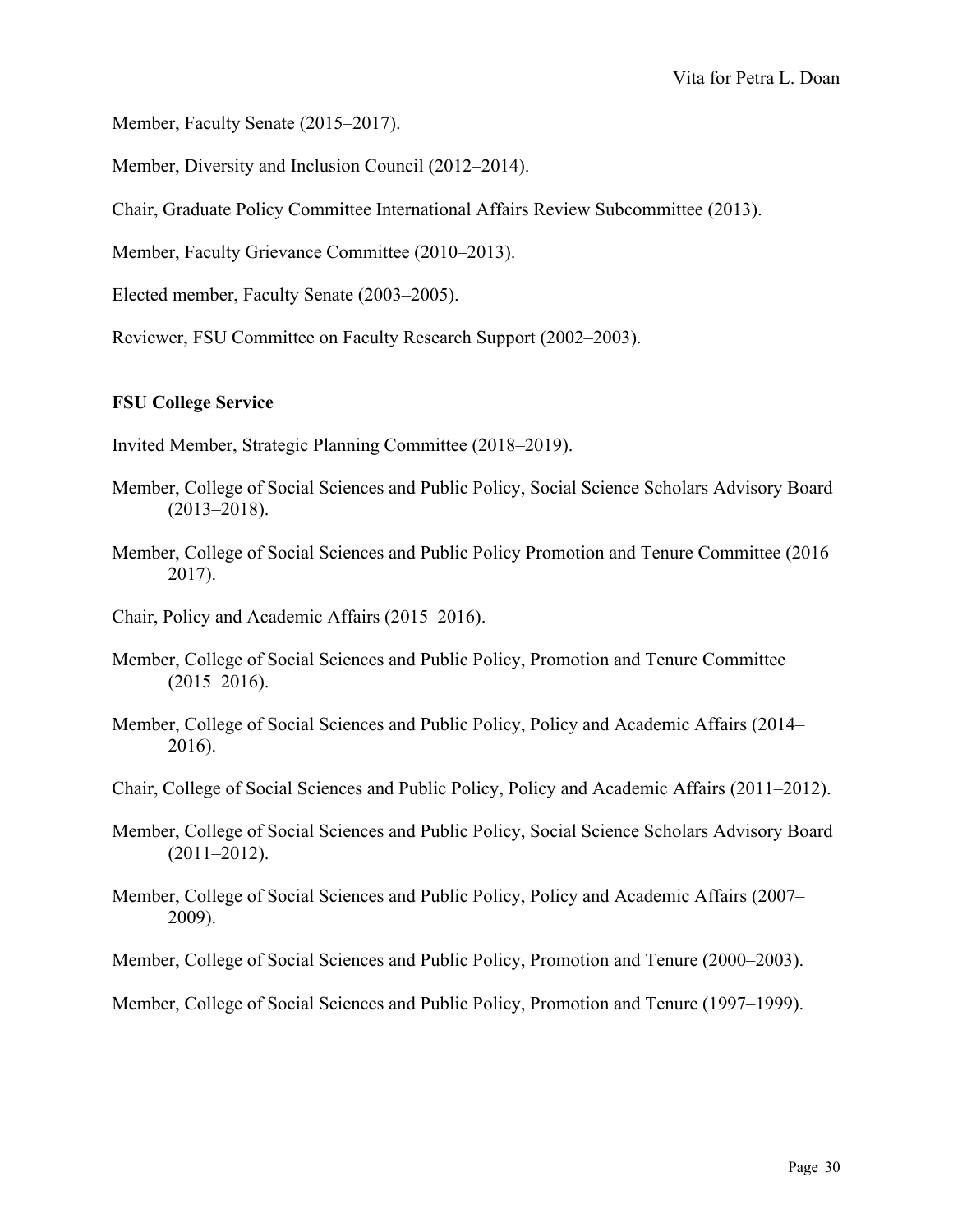Member, Faculty Senate (2015–2017).

Member, Diversity and Inclusion Council (2012–2014).

Chair, Graduate Policy Committee International Affairs Review Subcommittee (2013).

Member, Faculty Grievance Committee (2010–2013).

Elected member, Faculty Senate (2003–2005).

Reviewer, FSU Committee on Faculty Research Support (2002–2003).

### **FSU College Service**

Invited Member, Strategic Planning Committee (2018–2019).

- Member, College of Social Sciences and Public Policy, Social Science Scholars Advisory Board  $(2013 - 2018).$
- Member, College of Social Sciences and Public Policy Promotion and Tenure Committee (2016– 2017).
- Chair, Policy and Academic Affairs (2015–2016).
- Member, College of Social Sciences and Public Policy, Promotion and Tenure Committee  $(2015 - 2016)$ .
- Member, College of Social Sciences and Public Policy, Policy and Academic Affairs (2014– 2016).
- Chair, College of Social Sciences and Public Policy, Policy and Academic Affairs (2011–2012).
- Member, College of Social Sciences and Public Policy, Social Science Scholars Advisory Board (2011–2012).
- Member, College of Social Sciences and Public Policy, Policy and Academic Affairs (2007– 2009).

Member, College of Social Sciences and Public Policy, Promotion and Tenure (2000–2003).

Member, College of Social Sciences and Public Policy, Promotion and Tenure (1997–1999).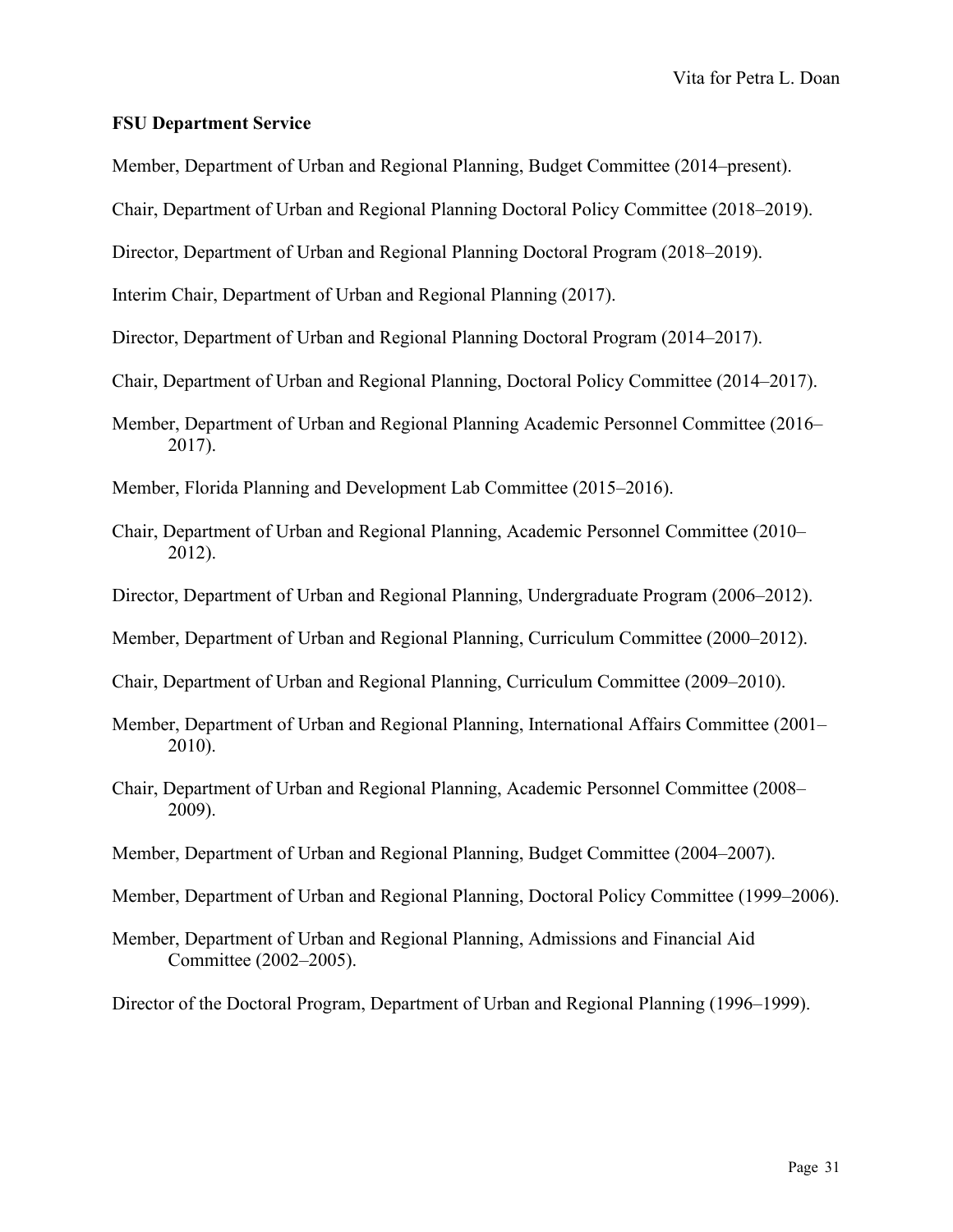#### **FSU Department Service**

Member, Department of Urban and Regional Planning, Budget Committee (2014–present).

Chair, Department of Urban and Regional Planning Doctoral Policy Committee (2018–2019).

Director, Department of Urban and Regional Planning Doctoral Program (2018–2019).

Interim Chair, Department of Urban and Regional Planning (2017).

Director, Department of Urban and Regional Planning Doctoral Program (2014–2017).

Chair, Department of Urban and Regional Planning, Doctoral Policy Committee (2014–2017).

Member, Department of Urban and Regional Planning Academic Personnel Committee (2016– 2017).

Member, Florida Planning and Development Lab Committee (2015–2016).

- Chair, Department of Urban and Regional Planning, Academic Personnel Committee (2010– 2012).
- Director, Department of Urban and Regional Planning, Undergraduate Program (2006–2012).

Member, Department of Urban and Regional Planning, Curriculum Committee (2000–2012).

Chair, Department of Urban and Regional Planning, Curriculum Committee (2009–2010).

- Member, Department of Urban and Regional Planning, International Affairs Committee (2001– 2010).
- Chair, Department of Urban and Regional Planning, Academic Personnel Committee (2008– 2009).
- Member, Department of Urban and Regional Planning, Budget Committee (2004–2007).

Member, Department of Urban and Regional Planning, Doctoral Policy Committee (1999–2006).

Member, Department of Urban and Regional Planning, Admissions and Financial Aid Committee (2002–2005).

Director of the Doctoral Program, Department of Urban and Regional Planning (1996–1999).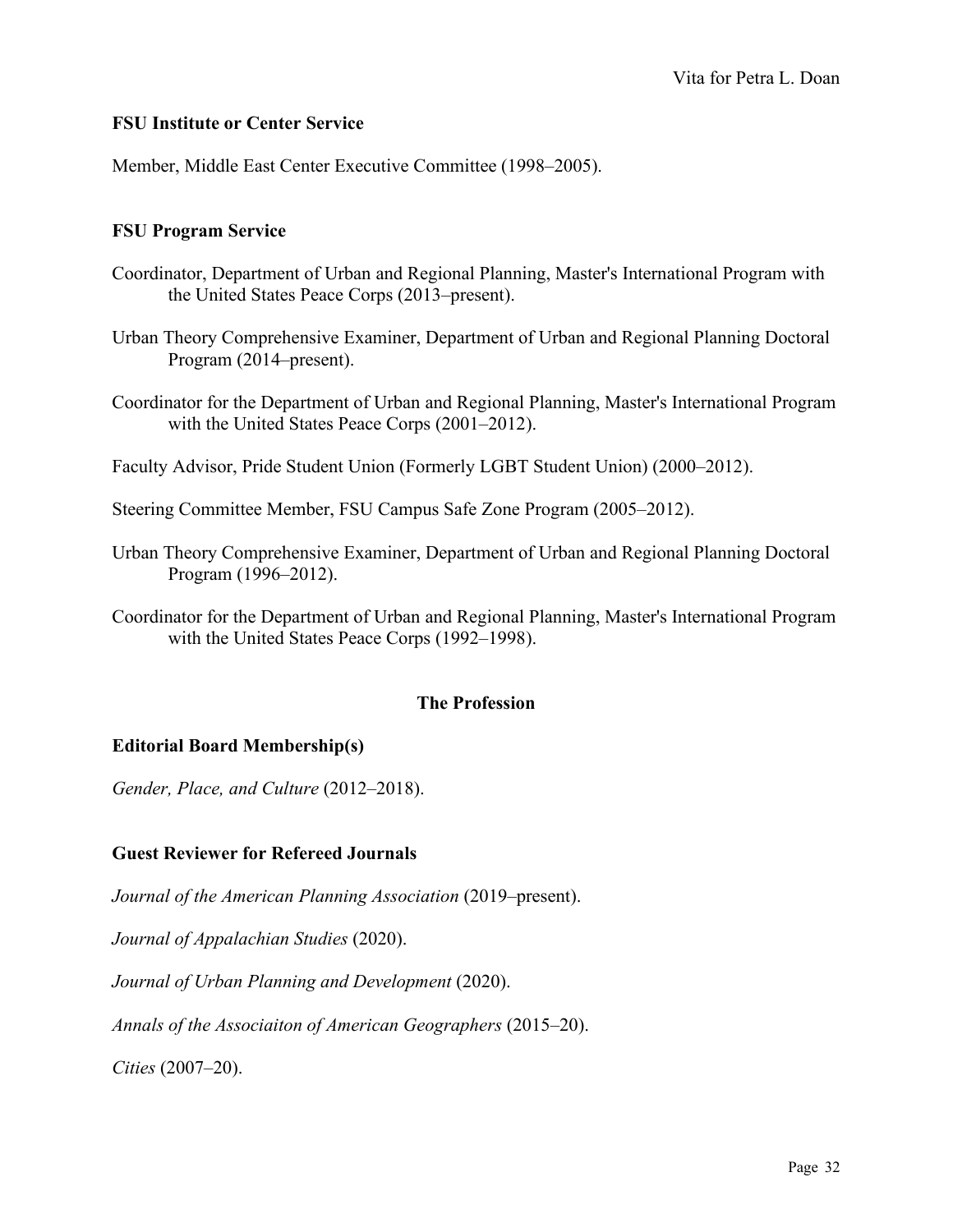### **FSU Institute or Center Service**

Member, Middle East Center Executive Committee (1998–2005).

### **FSU Program Service**

- Coordinator, Department of Urban and Regional Planning, Master's International Program with the United States Peace Corps (2013–present).
- Urban Theory Comprehensive Examiner, Department of Urban and Regional Planning Doctoral Program (2014–present).
- Coordinator for the Department of Urban and Regional Planning, Master's International Program with the United States Peace Corps (2001–2012).
- Faculty Advisor, Pride Student Union (Formerly LGBT Student Union) (2000–2012).
- Steering Committee Member, FSU Campus Safe Zone Program (2005–2012).
- Urban Theory Comprehensive Examiner, Department of Urban and Regional Planning Doctoral Program (1996–2012).
- Coordinator for the Department of Urban and Regional Planning, Master's International Program with the United States Peace Corps (1992–1998).

### **The Profession**

### **Editorial Board Membership(s)**

*Gender, Place, and Culture* (2012–2018).

### **Guest Reviewer for Refereed Journals**

*Journal of the American Planning Association* (2019–present).

*Journal of Appalachian Studies* (2020).

*Journal of Urban Planning and Development* (2020).

*Annals of the Associaiton of American Geographers* (2015–20).

*Cities* (2007–20).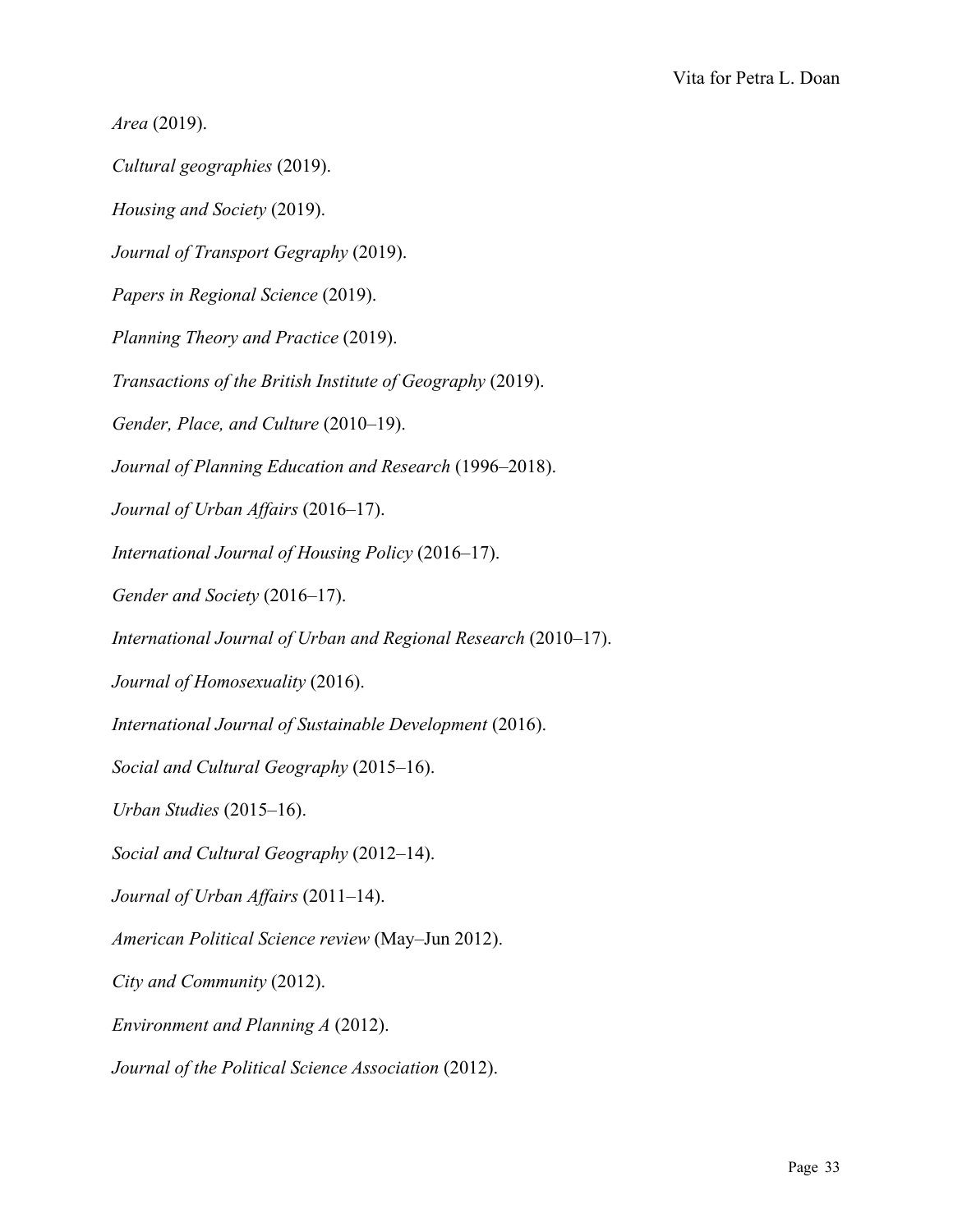*Area* (2019). *Cultural geographies* (2019). *Housing and Society* (2019). *Journal of Transport Gegraphy* (2019). *Papers in Regional Science* (2019). *Planning Theory and Practice* (2019). *Transactions of the British Institute of Geography* (2019). *Gender, Place, and Culture* (2010–19). *Journal of Planning Education and Research* (1996–2018). *Journal of Urban Affairs* (2016–17). *International Journal of Housing Policy* (2016–17). *Gender and Society* (2016–17). *International Journal of Urban and Regional Research* (2010–17). *Journal of Homosexuality* (2016). *International Journal of Sustainable Development* (2016). *Social and Cultural Geography* (2015–16). *Urban Studies* (2015–16). *Social and Cultural Geography* (2012–14). *Journal of Urban Affairs* (2011–14). *American Political Science review* (May–Jun 2012). *City and Community* (2012). *Environment and Planning A* (2012). *Journal of the Political Science Association* (2012).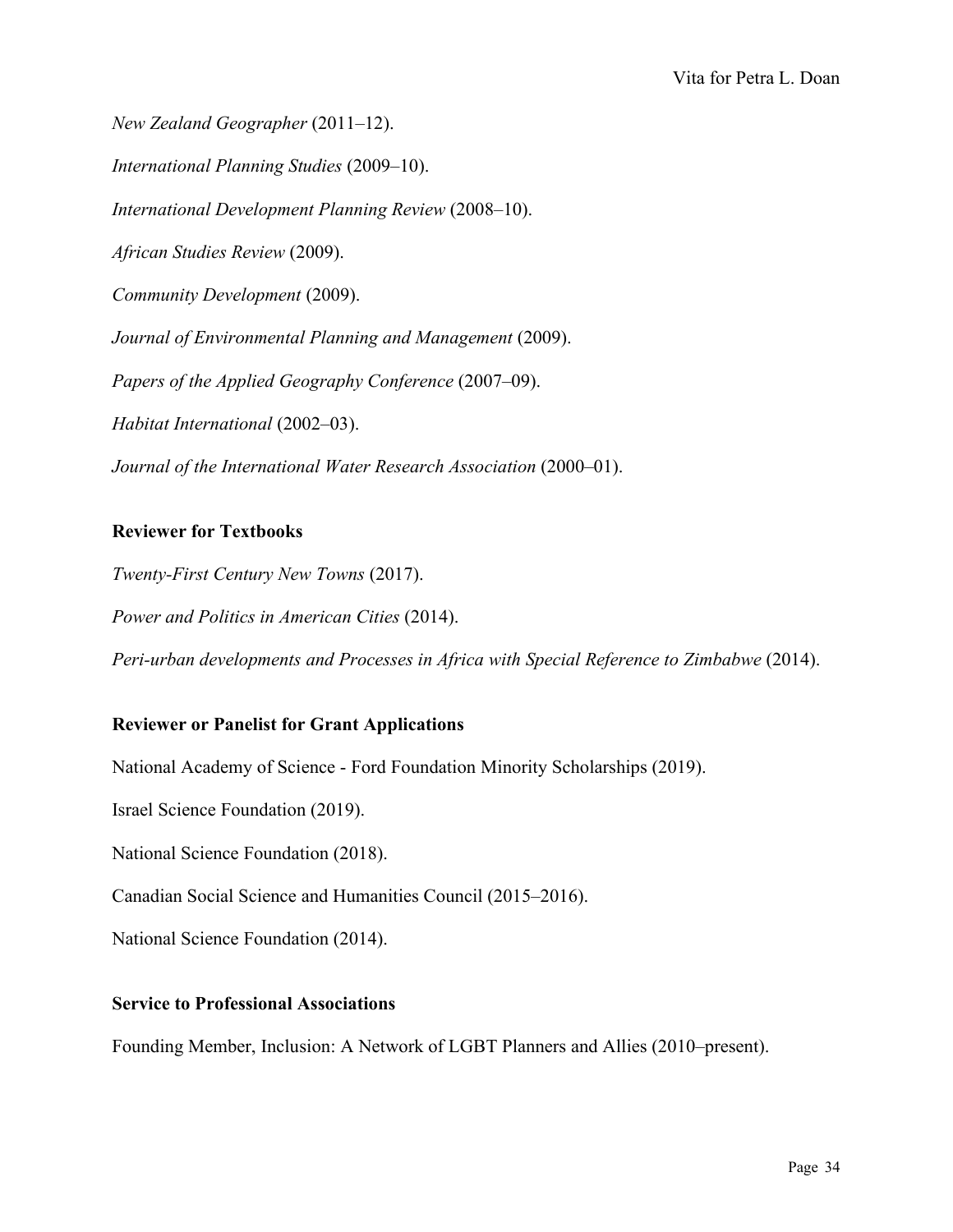*New Zealand Geographer* (2011–12). *International Planning Studies* (2009–10). *International Development Planning Review* (2008–10). *African Studies Review* (2009). *Community Development* (2009). *Journal of Environmental Planning and Management* (2009).

*Papers of the Applied Geography Conference* (2007–09).

*Habitat International* (2002–03).

*Journal of the International Water Research Association* (2000–01).

### **Reviewer for Textbooks**

*Twenty-First Century New Towns* (2017). *Power and Politics in American Cities* (2014). *Peri-urban developments and Processes in Africa with Special Reference to Zimbabwe* (2014).

## **Reviewer or Panelist for Grant Applications**

National Academy of Science - Ford Foundation Minority Scholarships (2019).

Israel Science Foundation (2019).

National Science Foundation (2018).

Canadian Social Science and Humanities Council (2015–2016).

National Science Foundation (2014).

### **Service to Professional Associations**

Founding Member, Inclusion: A Network of LGBT Planners and Allies (2010–present).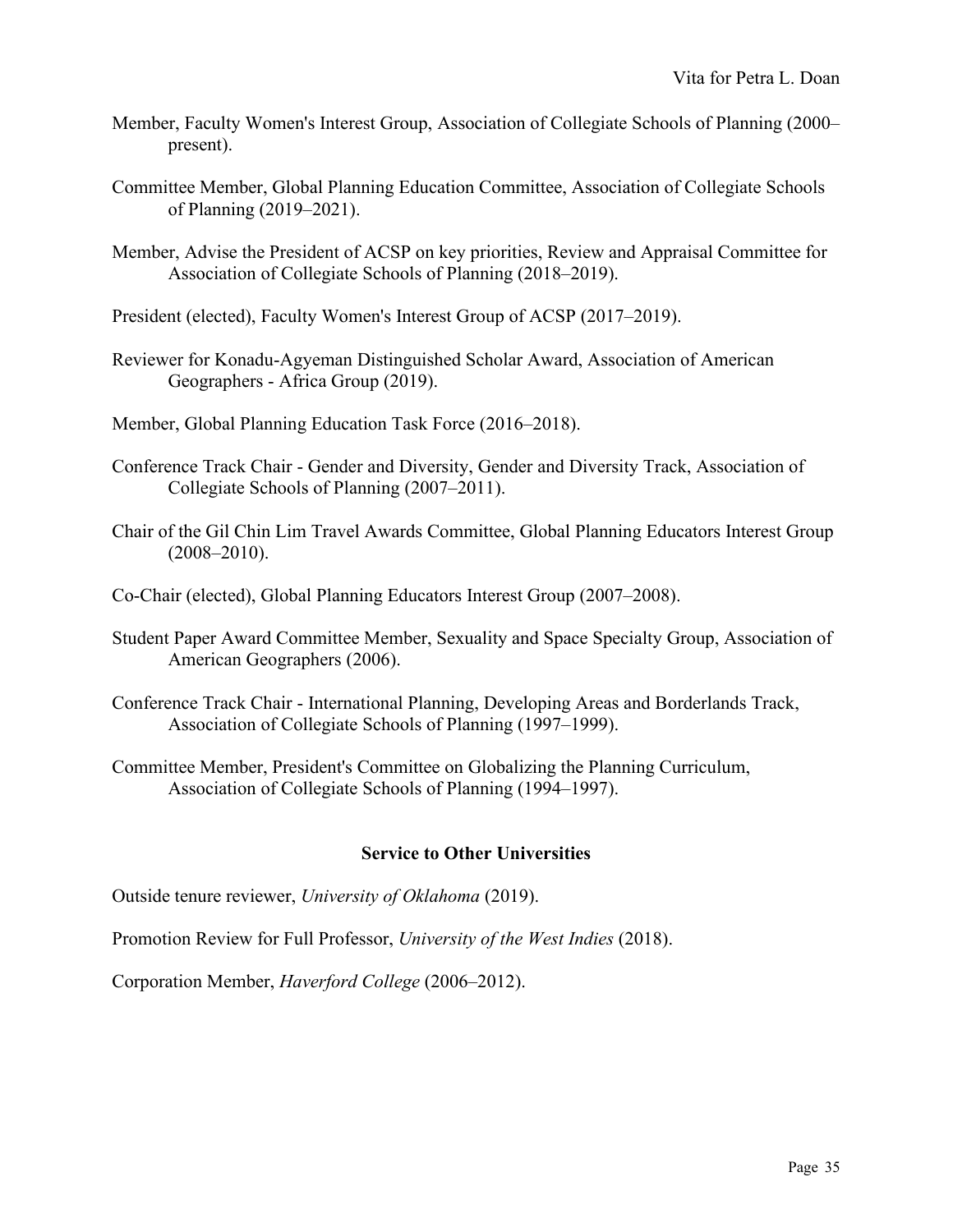- Member, Faculty Women's Interest Group, Association of Collegiate Schools of Planning (2000– present).
- Committee Member, Global Planning Education Committee, Association of Collegiate Schools of Planning (2019–2021).
- Member, Advise the President of ACSP on key priorities, Review and Appraisal Committee for Association of Collegiate Schools of Planning (2018–2019).
- President (elected), Faculty Women's Interest Group of ACSP (2017–2019).
- Reviewer for Konadu-Agyeman Distinguished Scholar Award, Association of American Geographers - Africa Group (2019).
- Member, Global Planning Education Task Force (2016–2018).
- Conference Track Chair Gender and Diversity, Gender and Diversity Track, Association of Collegiate Schools of Planning (2007–2011).
- Chair of the Gil Chin Lim Travel Awards Committee, Global Planning Educators Interest Group (2008–2010).
- Co-Chair (elected), Global Planning Educators Interest Group (2007–2008).
- Student Paper Award Committee Member, Sexuality and Space Specialty Group, Association of American Geographers (2006).
- Conference Track Chair International Planning, Developing Areas and Borderlands Track, Association of Collegiate Schools of Planning (1997–1999).
- Committee Member, President's Committee on Globalizing the Planning Curriculum, Association of Collegiate Schools of Planning (1994–1997).

### **Service to Other Universities**

Outside tenure reviewer, *University of Oklahoma* (2019).

Promotion Review for Full Professor, *University of the West Indies* (2018).

Corporation Member, *Haverford College* (2006–2012).